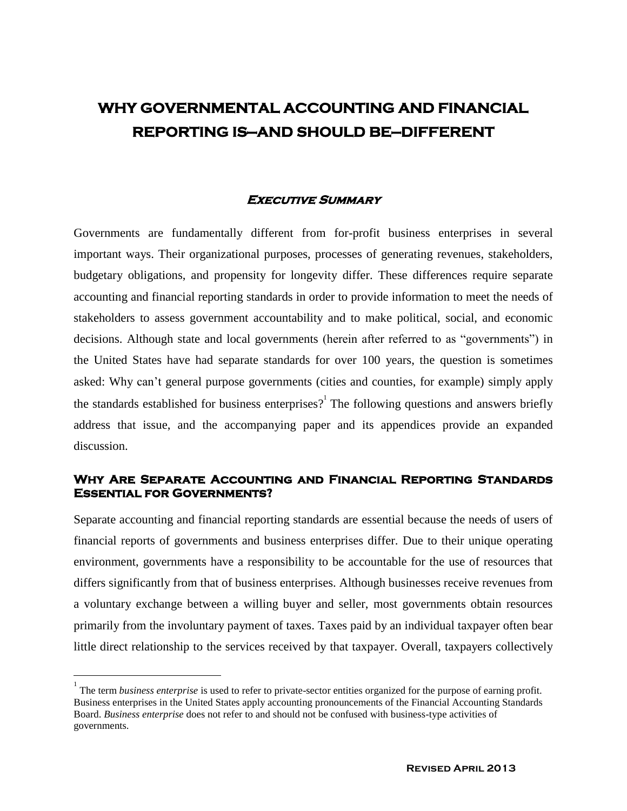# **WHY GOVERNMENTAL ACCOUNTING AND FINANCIAL REPORTING IS—AND SHOULD BE—DIFFERENT**

### **Executive Summary**

Governments are fundamentally different from for-profit business enterprises in several important ways. Their organizational purposes, processes of generating revenues, stakeholders, budgetary obligations, and propensity for longevity differ. These differences require separate accounting and financial reporting standards in order to provide information to meet the needs of stakeholders to assess government accountability and to make political, social, and economic decisions. Although state and local governments (herein after referred to as "governments") in the United States have had separate standards for over 100 years, the question is sometimes asked: Why can't general purpose governments (cities and counties, for example) simply apply the standards established for business enterprises?<sup>1</sup> The following questions and answers briefly address that issue, and the accompanying paper and its appendices provide an expanded discussion.

### **Why Are Separate Accounting and Financial Reporting Standards Essential for Governments?**

Separate accounting and financial reporting standards are essential because the needs of users of financial reports of governments and business enterprises differ. Due to their unique operating environment, governments have a responsibility to be accountable for the use of resources that differs significantly from that of business enterprises. Although businesses receive revenues from a voluntary exchange between a willing buyer and seller, most governments obtain resources primarily from the involuntary payment of taxes. Taxes paid by an individual taxpayer often bear little direct relationship to the services received by that taxpayer. Overall, taxpayers collectively

 $\overline{a}$ 

<sup>1</sup> The term *business enterprise* is used to refer to private-sector entities organized for the purpose of earning profit. Business enterprises in the United States apply accounting pronouncements of the Financial Accounting Standards Board. *Business enterprise* does not refer to and should not be confused with business-type activities of governments.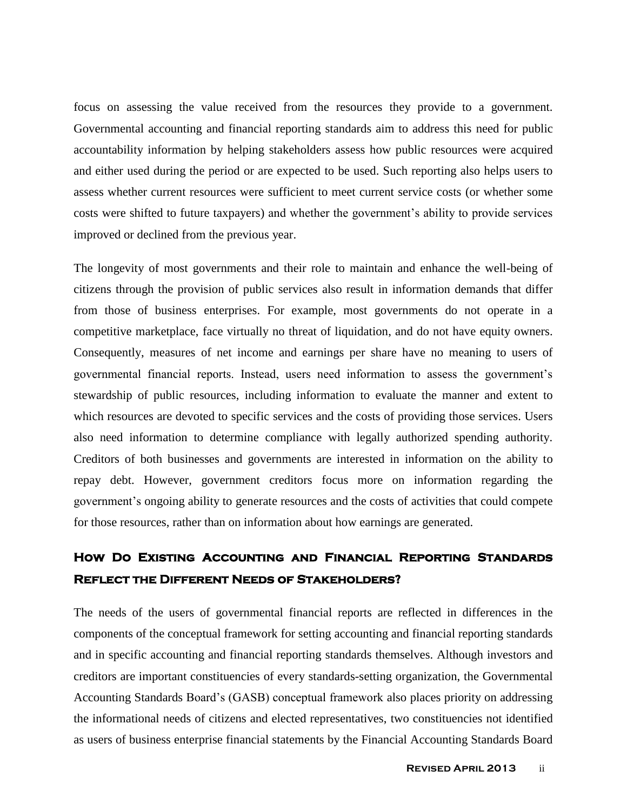focus on assessing the value received from the resources they provide to a government. Governmental accounting and financial reporting standards aim to address this need for public accountability information by helping stakeholders assess how public resources were acquired and either used during the period or are expected to be used. Such reporting also helps users to assess whether current resources were sufficient to meet current service costs (or whether some costs were shifted to future taxpayers) and whether the government's ability to provide services improved or declined from the previous year.

The longevity of most governments and their role to maintain and enhance the well-being of citizens through the provision of public services also result in information demands that differ from those of business enterprises. For example, most governments do not operate in a competitive marketplace, face virtually no threat of liquidation, and do not have equity owners. Consequently, measures of net income and earnings per share have no meaning to users of governmental financial reports. Instead, users need information to assess the government's stewardship of public resources, including information to evaluate the manner and extent to which resources are devoted to specific services and the costs of providing those services. Users also need information to determine compliance with legally authorized spending authority. Creditors of both businesses and governments are interested in information on the ability to repay debt. However, government creditors focus more on information regarding the government's ongoing ability to generate resources and the costs of activities that could compete for those resources, rather than on information about how earnings are generated.

## **How Do Existing accounting and Financial Reporting Standards Reflect the Different Needs of Stakeholders?**

The needs of the users of governmental financial reports are reflected in differences in the components of the conceptual framework for setting accounting and financial reporting standards and in specific accounting and financial reporting standards themselves. Although investors and creditors are important constituencies of every standards-setting organization, the Governmental Accounting Standards Board's (GASB) conceptual framework also places priority on addressing the informational needs of citizens and elected representatives, two constituencies not identified as users of business enterprise financial statements by the Financial Accounting Standards Board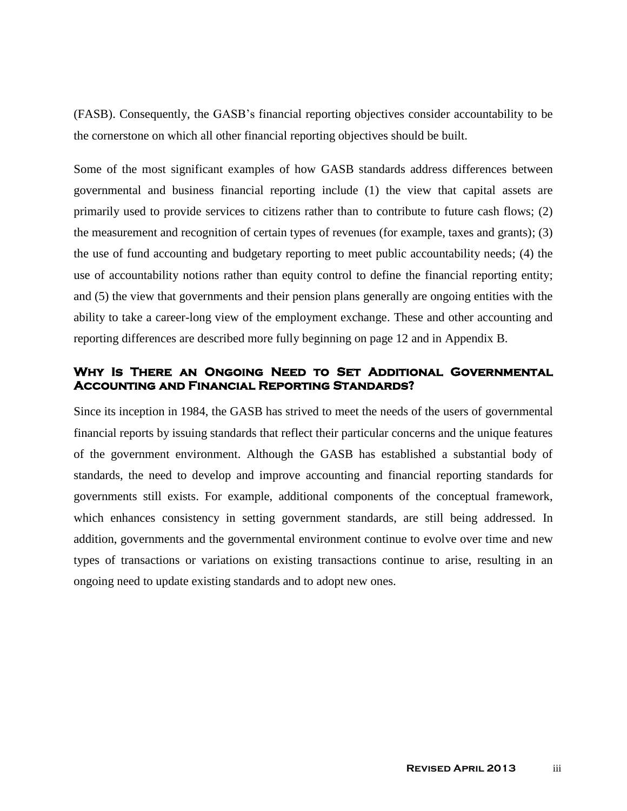(FASB). Consequently, the GASB's financial reporting objectives consider accountability to be the cornerstone on which all other financial reporting objectives should be built.

Some of the most significant examples of how GASB standards address differences between governmental and business financial reporting include (1) the view that capital assets are primarily used to provide services to citizens rather than to contribute to future cash flows; (2) the measurement and recognition of certain types of revenues (for example, taxes and grants); (3) the use of fund accounting and budgetary reporting to meet public accountability needs; (4) the use of accountability notions rather than equity control to define the financial reporting entity; and (5) the view that governments and their pension plans generally are ongoing entities with the ability to take a career-long view of the employment exchange. These and other accounting and reporting differences are described more fully beginning on page 12 and in Appendix B.

### **Why Is There an Ongoing Need to Set Additional Governmental Accounting and Financial Reporting Standards?**

Since its inception in 1984, the GASB has strived to meet the needs of the users of governmental financial reports by issuing standards that reflect their particular concerns and the unique features of the government environment. Although the GASB has established a substantial body of standards, the need to develop and improve accounting and financial reporting standards for governments still exists. For example, additional components of the conceptual framework, which enhances consistency in setting government standards, are still being addressed. In addition, governments and the governmental environment continue to evolve over time and new types of transactions or variations on existing transactions continue to arise, resulting in an ongoing need to update existing standards and to adopt new ones.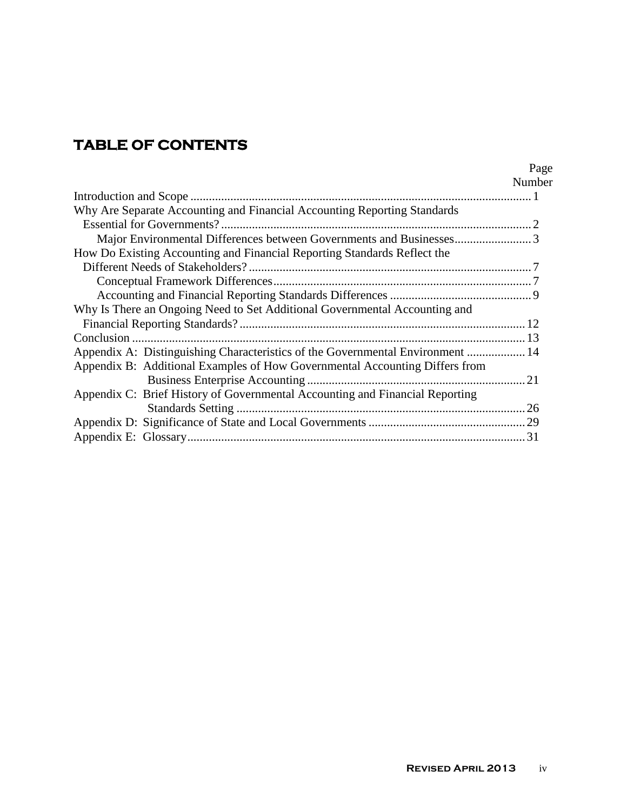# **TABLE OF CONTENTS**

|                                                                                | Number |
|--------------------------------------------------------------------------------|--------|
|                                                                                |        |
| Why Are Separate Accounting and Financial Accounting Reporting Standards       |        |
|                                                                                |        |
| Major Environmental Differences between Governments and Businesses3            |        |
| How Do Existing Accounting and Financial Reporting Standards Reflect the       |        |
|                                                                                |        |
|                                                                                |        |
|                                                                                |        |
| Why Is There an Ongoing Need to Set Additional Governmental Accounting and     |        |
|                                                                                |        |
|                                                                                |        |
| Appendix A: Distinguishing Characteristics of the Governmental Environment  14 |        |
| Appendix B: Additional Examples of How Governmental Accounting Differs from    |        |
|                                                                                |        |
| Appendix C: Brief History of Governmental Accounting and Financial Reporting   |        |
|                                                                                |        |
|                                                                                |        |
|                                                                                |        |

Page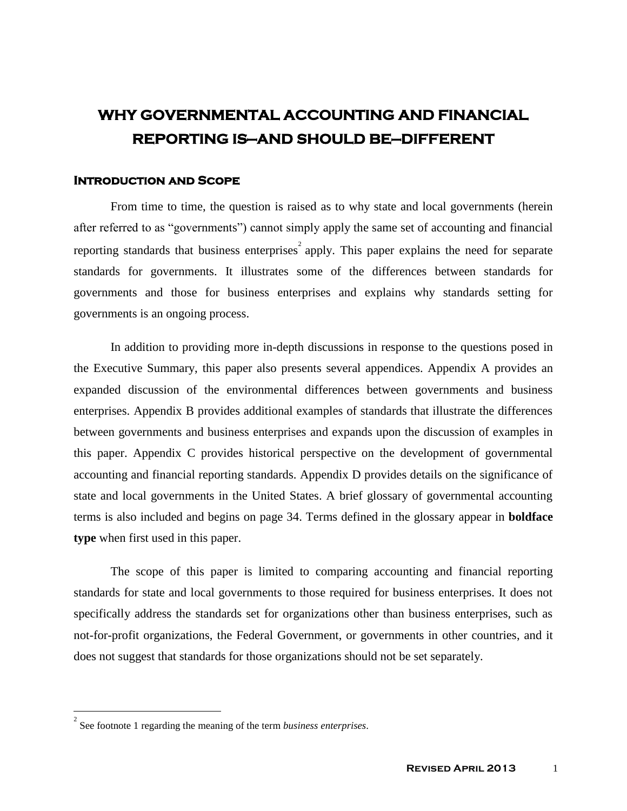# **WHY GOVERNMENTAL ACCOUNTING AND FINANCIAL REPORTING IS—AND SHOULD BE—DIFFERENT**

### **Introduction and Scope**

From time to time, the question is raised as to why state and local governments (herein after referred to as "governments") cannot simply apply the same set of accounting and financial reporting standards that business enterprises<sup>2</sup> apply. This paper explains the need for separate standards for governments. It illustrates some of the differences between standards for governments and those for business enterprises and explains why standards setting for governments is an ongoing process.

In addition to providing more in-depth discussions in response to the questions posed in the Executive Summary, this paper also presents several appendices. Appendix A provides an expanded discussion of the environmental differences between governments and business enterprises. Appendix B provides additional examples of standards that illustrate the differences between governments and business enterprises and expands upon the discussion of examples in this paper. Appendix C provides historical perspective on the development of governmental accounting and financial reporting standards. Appendix D provides details on the significance of state and local governments in the United States. A brief glossary of governmental accounting terms is also included and begins on page 34. Terms defined in the glossary appear in **boldface type** when first used in this paper.

The scope of this paper is limited to comparing accounting and financial reporting standards for state and local governments to those required for business enterprises. It does not specifically address the standards set for organizations other than business enterprises, such as not-for-profit organizations, the Federal Government, or governments in other countries, and it does not suggest that standards for those organizations should not be set separately.

 $\overline{a}$ 

<sup>2</sup> See footnote 1 regarding the meaning of the term *business enterprises*.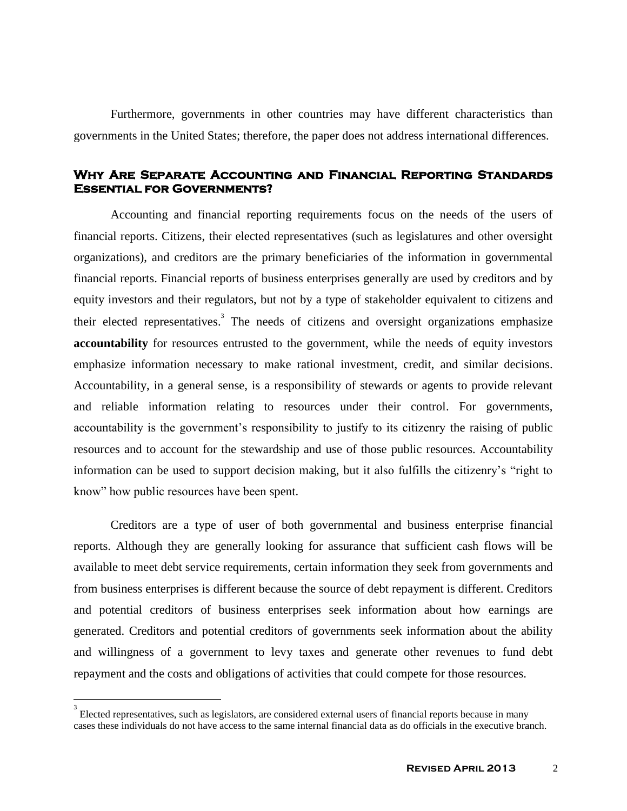Furthermore, governments in other countries may have different characteristics than governments in the United States; therefore, the paper does not address international differences.

### **Why Are Separate Accounting and Financial Reporting Standards Essential for Governments?**

Accounting and financial reporting requirements focus on the needs of the users of financial reports. Citizens, their elected representatives (such as legislatures and other oversight organizations), and creditors are the primary beneficiaries of the information in governmental financial reports. Financial reports of business enterprises generally are used by creditors and by equity investors and their regulators, but not by a type of stakeholder equivalent to citizens and their elected representatives.<sup>3</sup> The needs of citizens and oversight organizations emphasize **accountability** for resources entrusted to the government, while the needs of equity investors emphasize information necessary to make rational investment, credit, and similar decisions. Accountability, in a general sense, is a responsibility of stewards or agents to provide relevant and reliable information relating to resources under their control. For governments, accountability is the government's responsibility to justify to its citizenry the raising of public resources and to account for the stewardship and use of those public resources. Accountability information can be used to support decision making, but it also fulfills the citizenry's "right to know" how public resources have been spent.

Creditors are a type of user of both governmental and business enterprise financial reports. Although they are generally looking for assurance that sufficient cash flows will be available to meet debt service requirements, certain information they seek from governments and from business enterprises is different because the source of debt repayment is different. Creditors and potential creditors of business enterprises seek information about how earnings are generated. Creditors and potential creditors of governments seek information about the ability and willingness of a government to levy taxes and generate other revenues to fund debt repayment and the costs and obligations of activities that could compete for those resources.

 $\overline{a}$ 

<sup>3</sup> Elected representatives, such as legislators, are considered external users of financial reports because in many cases these individuals do not have access to the same internal financial data as do officials in the executive branch.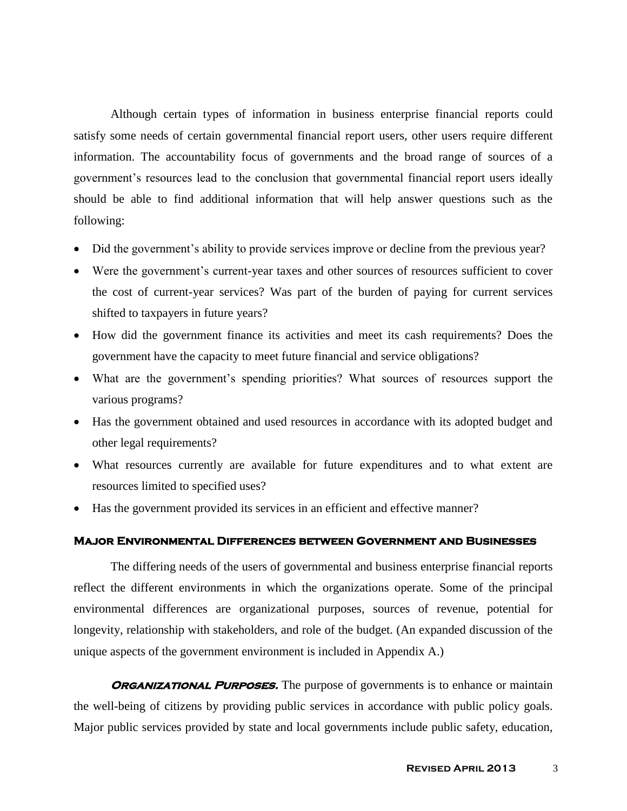Although certain types of information in business enterprise financial reports could satisfy some needs of certain governmental financial report users, other users require different information. The accountability focus of governments and the broad range of sources of a government's resources lead to the conclusion that governmental financial report users ideally should be able to find additional information that will help answer questions such as the following:

- Did the government's ability to provide services improve or decline from the previous year?
- Were the government's current-year taxes and other sources of resources sufficient to cover the cost of current-year services? Was part of the burden of paying for current services shifted to taxpayers in future years?
- How did the government finance its activities and meet its cash requirements? Does the government have the capacity to meet future financial and service obligations?
- What are the government's spending priorities? What sources of resources support the various programs?
- Has the government obtained and used resources in accordance with its adopted budget and other legal requirements?
- What resources currently are available for future expenditures and to what extent are resources limited to specified uses?
- Has the government provided its services in an efficient and effective manner?

### **Major Environmental Differences between Government and Businesses**

The differing needs of the users of governmental and business enterprise financial reports reflect the different environments in which the organizations operate. Some of the principal environmental differences are organizational purposes, sources of revenue, potential for longevity, relationship with stakeholders, and role of the budget. (An expanded discussion of the unique aspects of the government environment is included in Appendix A.)

**ORGANIZATIONAL PURPOSES.** The purpose of governments is to enhance or maintain the well-being of citizens by providing public services in accordance with public policy goals. Major public services provided by state and local governments include public safety, education,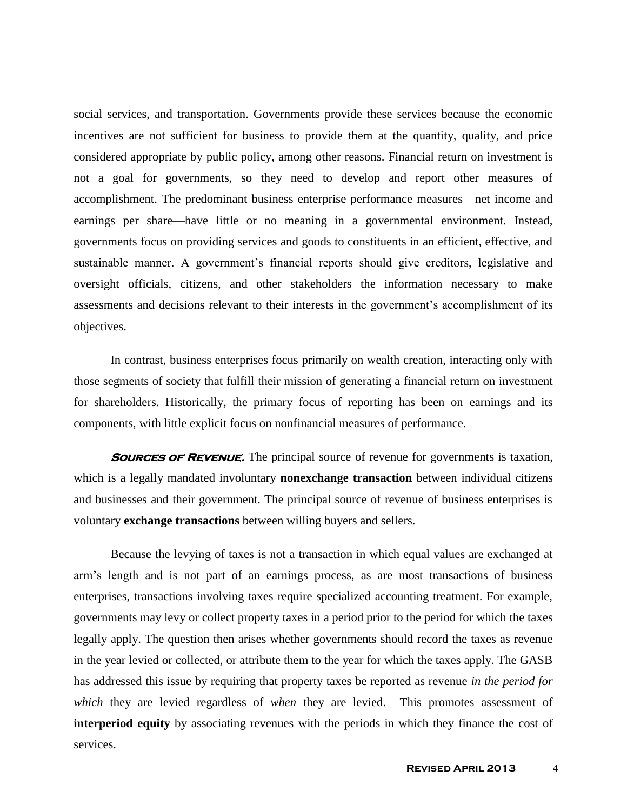social services, and transportation. Governments provide these services because the economic incentives are not sufficient for business to provide them at the quantity, quality, and price considered appropriate by public policy, among other reasons. Financial return on investment is not a goal for governments, so they need to develop and report other measures of accomplishment. The predominant business enterprise performance measures—net income and earnings per share—have little or no meaning in a governmental environment. Instead, governments focus on providing services and goods to constituents in an efficient, effective, and sustainable manner. A government's financial reports should give creditors, legislative and oversight officials, citizens, and other stakeholders the information necessary to make assessments and decisions relevant to their interests in the government's accomplishment of its objectives.

In contrast, business enterprises focus primarily on wealth creation, interacting only with those segments of society that fulfill their mission of generating a financial return on investment for shareholders. Historically, the primary focus of reporting has been on earnings and its components, with little explicit focus on nonfinancial measures of performance.

**SOURCES OF REVENUE.** The principal source of revenue for governments is taxation, which is a legally mandated involuntary **nonexchange transaction** between individual citizens and businesses and their government. The principal source of revenue of business enterprises is voluntary **exchange transactions** between willing buyers and sellers.

Because the levying of taxes is not a transaction in which equal values are exchanged at arm's length and is not part of an earnings process, as are most transactions of business enterprises, transactions involving taxes require specialized accounting treatment. For example, governments may levy or collect property taxes in a period prior to the period for which the taxes legally apply. The question then arises whether governments should record the taxes as revenue in the year levied or collected, or attribute them to the year for which the taxes apply. The GASB has addressed this issue by requiring that property taxes be reported as revenue *in the period for which* they are levied regardless of *when* they are levied. This promotes assessment of **interperiod equity** by associating revenues with the periods in which they finance the cost of services.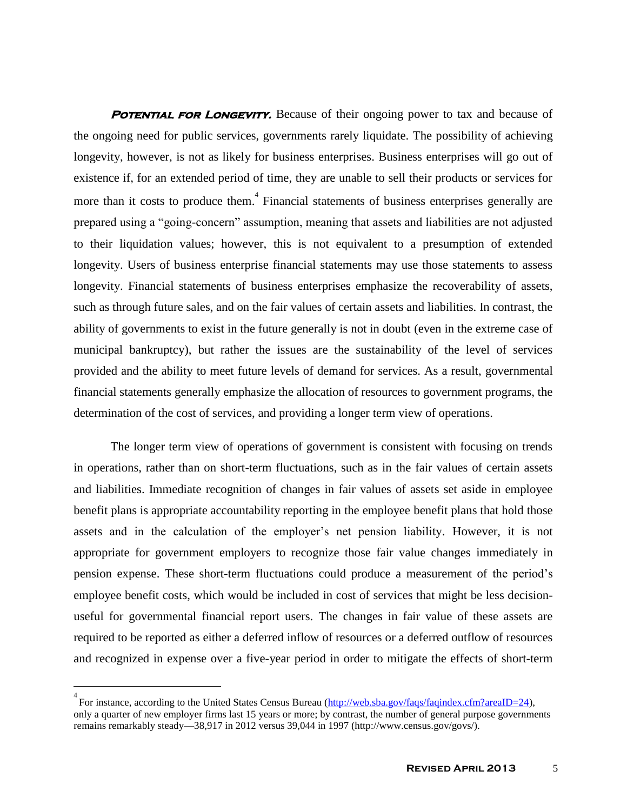**POTENTIAL FOR LONGEVITY.** Because of their ongoing power to tax and because of the ongoing need for public services, governments rarely liquidate. The possibility of achieving longevity, however, is not as likely for business enterprises. Business enterprises will go out of existence if, for an extended period of time, they are unable to sell their products or services for more than it costs to produce them.<sup>4</sup> Financial statements of business enterprises generally are prepared using a "going-concern" assumption, meaning that assets and liabilities are not adjusted to their liquidation values; however, this is not equivalent to a presumption of extended longevity. Users of business enterprise financial statements may use those statements to assess longevity. Financial statements of business enterprises emphasize the recoverability of assets, such as through future sales, and on the fair values of certain assets and liabilities. In contrast, the ability of governments to exist in the future generally is not in doubt (even in the extreme case of municipal bankruptcy), but rather the issues are the sustainability of the level of services provided and the ability to meet future levels of demand for services. As a result, governmental financial statements generally emphasize the allocation of resources to government programs, the determination of the cost of services, and providing a longer term view of operations.

The longer term view of operations of government is consistent with focusing on trends in operations, rather than on short-term fluctuations, such as in the fair values of certain assets and liabilities. Immediate recognition of changes in fair values of assets set aside in employee benefit plans is appropriate accountability reporting in the employee benefit plans that hold those assets and in the calculation of the employer's net pension liability. However, it is not appropriate for government employers to recognize those fair value changes immediately in pension expense. These short-term fluctuations could produce a measurement of the period's employee benefit costs, which would be included in cost of services that might be less decisionuseful for governmental financial report users. The changes in fair value of these assets are required to be reported as either a deferred inflow of resources or a deferred outflow of resources and recognized in expense over a five-year period in order to mitigate the effects of short-term

 $\overline{a}$ 

<sup>&</sup>lt;sup>4</sup> For instance, according to the United States Census Bureau [\(http://web.sba.gov/faqs/faqindex.cfm?areaID=24\)](http://web.sba.gov/faqs/faqindex.cfm?areaID=24), only a quarter of new employer firms last 15 years or more; by contrast, the number of general purpose governments remains remarkably steady—38,917 in 2012 versus 39,044 in 1997 (http://www.census.gov/govs/).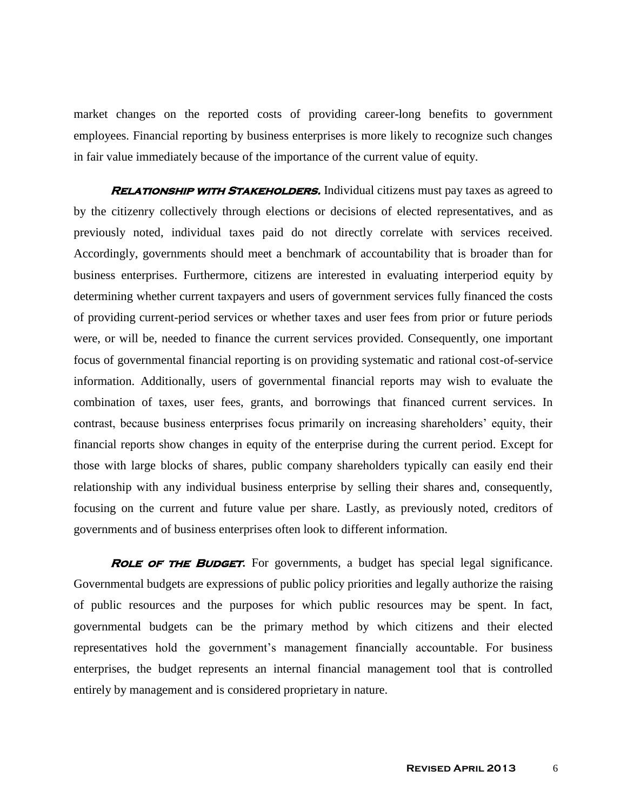market changes on the reported costs of providing career-long benefits to government employees. Financial reporting by business enterprises is more likely to recognize such changes in fair value immediately because of the importance of the current value of equity.

**RELATIONSHIP WITH STAKEHOLDERS.** Individual citizens must pay taxes as agreed to by the citizenry collectively through elections or decisions of elected representatives, and as previously noted, individual taxes paid do not directly correlate with services received. Accordingly, governments should meet a benchmark of accountability that is broader than for business enterprises. Furthermore, citizens are interested in evaluating interperiod equity by determining whether current taxpayers and users of government services fully financed the costs of providing current-period services or whether taxes and user fees from prior or future periods were, or will be, needed to finance the current services provided. Consequently, one important focus of governmental financial reporting is on providing systematic and rational cost-of-service information. Additionally, users of governmental financial reports may wish to evaluate the combination of taxes, user fees, grants, and borrowings that financed current services. In contrast, because business enterprises focus primarily on increasing shareholders' equity, their financial reports show changes in equity of the enterprise during the current period. Except for those with large blocks of shares, public company shareholders typically can easily end their relationship with any individual business enterprise by selling their shares and, consequently, focusing on the current and future value per share. Lastly, as previously noted, creditors of governments and of business enterprises often look to different information.

**ROLE OF THE BUDGET.** For governments, a budget has special legal significance. Governmental budgets are expressions of public policy priorities and legally authorize the raising of public resources and the purposes for which public resources may be spent. In fact, governmental budgets can be the primary method by which citizens and their elected representatives hold the government's management financially accountable. For business enterprises, the budget represents an internal financial management tool that is controlled entirely by management and is considered proprietary in nature.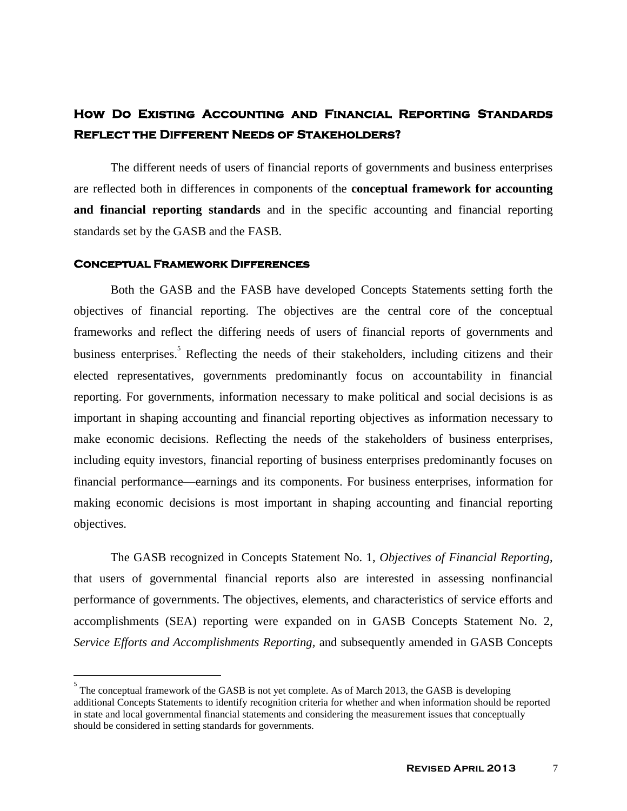## **How Do Existing Accounting and Financial Reporting Standards Reflect the Different Needs of Stakeholders?**

The different needs of users of financial reports of governments and business enterprises are reflected both in differences in components of the **conceptual framework for accounting and financial reporting standards** and in the specific accounting and financial reporting standards set by the GASB and the FASB.

#### **Conceptual Framework Differences**

 $\overline{a}$ 

Both the GASB and the FASB have developed Concepts Statements setting forth the objectives of financial reporting. The objectives are the central core of the conceptual frameworks and reflect the differing needs of users of financial reports of governments and business enterprises. Reflecting the needs of their stakeholders, including citizens and their elected representatives, governments predominantly focus on accountability in financial reporting. For governments, information necessary to make political and social decisions is as important in shaping accounting and financial reporting objectives as information necessary to make economic decisions. Reflecting the needs of the stakeholders of business enterprises, including equity investors, financial reporting of business enterprises predominantly focuses on financial performance—earnings and its components. For business enterprises, information for making economic decisions is most important in shaping accounting and financial reporting objectives.

The GASB recognized in Concepts Statement No. 1, *Objectives of Financial Reporting*, that users of governmental financial reports also are interested in assessing nonfinancial performance of governments. The objectives, elements, and characteristics of service efforts and accomplishments (SEA) reporting were expanded on in GASB Concepts Statement No. 2, *Service Efforts and Accomplishments Reporting,* and subsequently amended in GASB Concepts

<sup>5</sup> The conceptual framework of the GASB is not yet complete. As of March 2013, the GASB is developing additional Concepts Statements to identify recognition criteria for whether and when information should be reported in state and local governmental financial statements and considering the measurement issues that conceptually should be considered in setting standards for governments.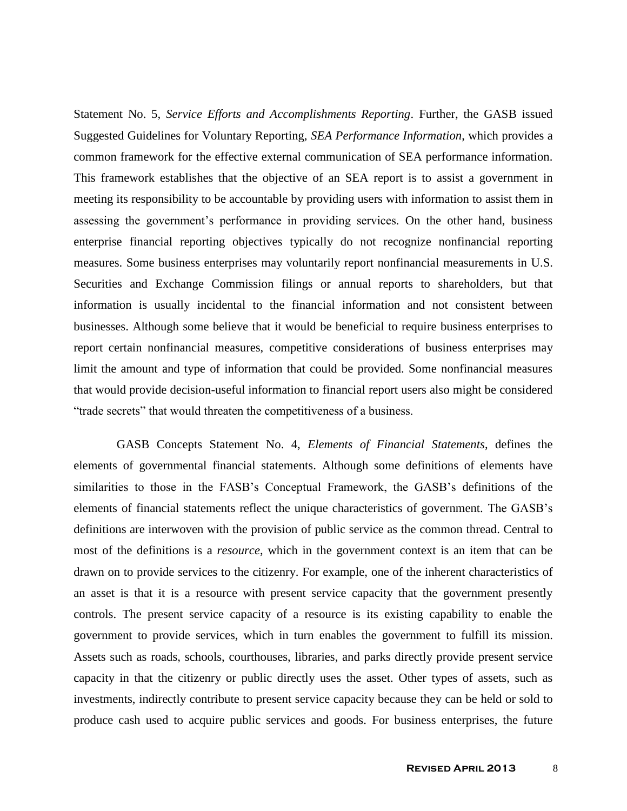Statement No. 5, *Service Efforts and Accomplishments Reporting*. Further, the GASB issued Suggested Guidelines for Voluntary Reporting, *SEA Performance Information*, which provides a common framework for the effective external communication of SEA performance information. This framework establishes that the objective of an SEA report is to assist a government in meeting its responsibility to be accountable by providing users with information to assist them in assessing the government's performance in providing services. On the other hand, business enterprise financial reporting objectives typically do not recognize nonfinancial reporting measures. Some business enterprises may voluntarily report nonfinancial measurements in U.S. Securities and Exchange Commission filings or annual reports to shareholders, but that information is usually incidental to the financial information and not consistent between businesses. Although some believe that it would be beneficial to require business enterprises to report certain nonfinancial measures, competitive considerations of business enterprises may limit the amount and type of information that could be provided. Some nonfinancial measures that would provide decision-useful information to financial report users also might be considered "trade secrets" that would threaten the competitiveness of a business.

 GASB Concepts Statement No. 4, *Elements of Financial Statements*, defines the elements of governmental financial statements. Although some definitions of elements have similarities to those in the FASB's Conceptual Framework, the GASB's definitions of the elements of financial statements reflect the unique characteristics of government. The GASB's definitions are interwoven with the provision of public service as the common thread. Central to most of the definitions is a *resource*, which in the government context is an item that can be drawn on to provide services to the citizenry. For example, one of the inherent characteristics of an asset is that it is a resource with present service capacity that the government presently controls. The present service capacity of a resource is its existing capability to enable the government to provide services, which in turn enables the government to fulfill its mission. Assets such as roads, schools, courthouses, libraries, and parks directly provide present service capacity in that the citizenry or public directly uses the asset. Other types of assets, such as investments, indirectly contribute to present service capacity because they can be held or sold to produce cash used to acquire public services and goods. For business enterprises, the future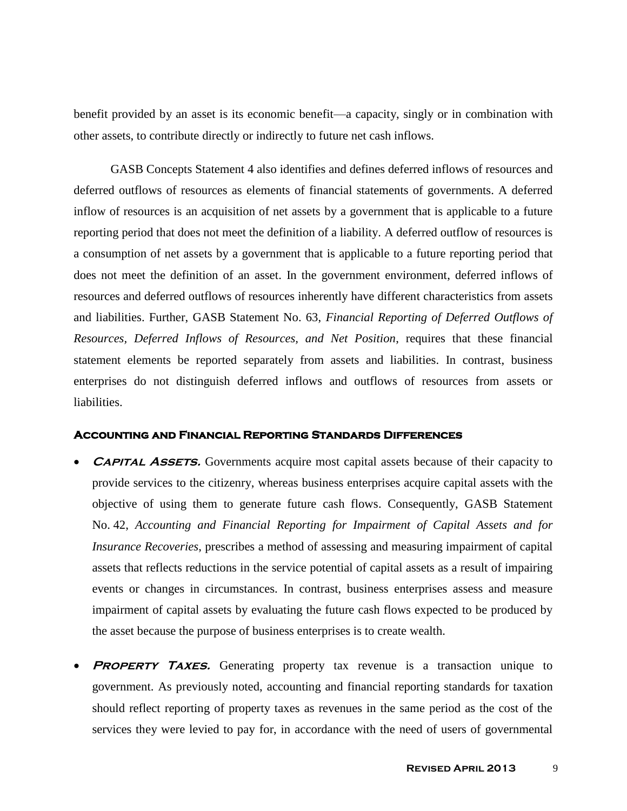benefit provided by an asset is its economic benefit—a capacity, singly or in combination with other assets, to contribute directly or indirectly to future net cash inflows.

GASB Concepts Statement 4 also identifies and defines deferred inflows of resources and deferred outflows of resources as elements of financial statements of governments. A deferred inflow of resources is an acquisition of net assets by a government that is applicable to a future reporting period that does not meet the definition of a liability. A deferred outflow of resources is a consumption of net assets by a government that is applicable to a future reporting period that does not meet the definition of an asset. In the government environment, deferred inflows of resources and deferred outflows of resources inherently have different characteristics from assets and liabilities. Further, GASB Statement No. 63, *Financial Reporting of Deferred Outflows of Resources, Deferred Inflows of Resources, and Net Position*, requires that these financial statement elements be reported separately from assets and liabilities. In contrast, business enterprises do not distinguish deferred inflows and outflows of resources from assets or liabilities.

#### **Accounting and Financial Reporting Standards Differences**

- **CAPITAL ASSETS.** Governments acquire most capital assets because of their capacity to provide services to the citizenry, whereas business enterprises acquire capital assets with the objective of using them to generate future cash flows. Consequently, GASB Statement No. 42, *Accounting and Financial Reporting for Impairment of Capital Assets and for Insurance Recoveries*, prescribes a method of assessing and measuring impairment of capital assets that reflects reductions in the service potential of capital assets as a result of impairing events or changes in circumstances. In contrast, business enterprises assess and measure impairment of capital assets by evaluating the future cash flows expected to be produced by the asset because the purpose of business enterprises is to create wealth.
- **PROPERTY TAXES.** Generating property tax revenue is a transaction unique to government. As previously noted, accounting and financial reporting standards for taxation should reflect reporting of property taxes as revenues in the same period as the cost of the services they were levied to pay for, in accordance with the need of users of governmental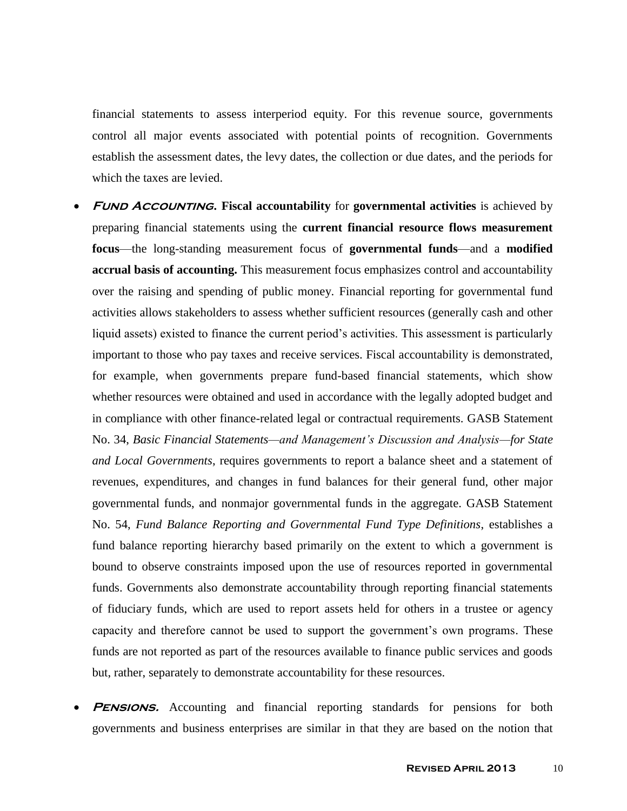financial statements to assess interperiod equity. For this revenue source, governments control all major events associated with potential points of recognition. Governments establish the assessment dates, the levy dates, the collection or due dates, and the periods for which the taxes are levied.

- **FUND ACCOUNTING.** Fiscal accountability for governmental activities is achieved by preparing financial statements using the **current financial resource flows measurement focus**—the long-standing measurement focus of **governmental funds**—and a **modified accrual basis of accounting.** This measurement focus emphasizes control and accountability over the raising and spending of public money. Financial reporting for governmental fund activities allows stakeholders to assess whether sufficient resources (generally cash and other liquid assets) existed to finance the current period's activities. This assessment is particularly important to those who pay taxes and receive services. Fiscal accountability is demonstrated, for example, when governments prepare fund-based financial statements, which show whether resources were obtained and used in accordance with the legally adopted budget and in compliance with other finance-related legal or contractual requirements. GASB Statement No. 34, *Basic Financial Statements—and Management's Discussion and Analysis—for State and Local Governments*, requires governments to report a balance sheet and a statement of revenues, expenditures, and changes in fund balances for their general fund, other major governmental funds, and nonmajor governmental funds in the aggregate. GASB Statement No. 54, *Fund Balance Reporting and Governmental Fund Type Definitions*, establishes a fund balance reporting hierarchy based primarily on the extent to which a government is bound to observe constraints imposed upon the use of resources reported in governmental funds. Governments also demonstrate accountability through reporting financial statements of fiduciary funds, which are used to report assets held for others in a trustee or agency capacity and therefore cannot be used to support the government's own programs. These funds are not reported as part of the resources available to finance public services and goods but, rather, separately to demonstrate accountability for these resources.
- **PENSIONS.** Accounting and financial reporting standards for pensions for both governments and business enterprises are similar in that they are based on the notion that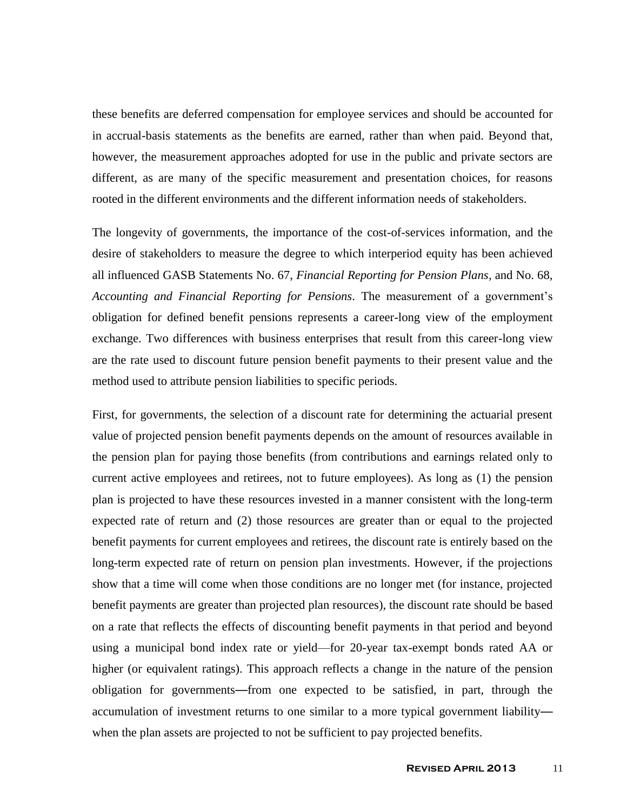these benefits are deferred compensation for employee services and should be accounted for in accrual-basis statements as the benefits are earned, rather than when paid. Beyond that, however, the measurement approaches adopted for use in the public and private sectors are different, as are many of the specific measurement and presentation choices, for reasons rooted in the different environments and the different information needs of stakeholders.

The longevity of governments, the importance of the cost-of-services information, and the desire of stakeholders to measure the degree to which interperiod equity has been achieved all influenced GASB Statements No. 67, *Financial Reporting for Pension Plans,* and No. 68, *Accounting and Financial Reporting for Pensions*. The measurement of a government's obligation for defined benefit pensions represents a career-long view of the employment exchange. Two differences with business enterprises that result from this career-long view are the rate used to discount future pension benefit payments to their present value and the method used to attribute pension liabilities to specific periods.

First, for governments, the selection of a discount rate for determining the actuarial present value of projected pension benefit payments depends on the amount of resources available in the pension plan for paying those benefits (from contributions and earnings related only to current active employees and retirees, not to future employees). As long as (1) the pension plan is projected to have these resources invested in a manner consistent with the long-term expected rate of return and (2) those resources are greater than or equal to the projected benefit payments for current employees and retirees, the discount rate is entirely based on the long-term expected rate of return on pension plan investments. However, if the projections show that a time will come when those conditions are no longer met (for instance, projected benefit payments are greater than projected plan resources), the discount rate should be based on a rate that reflects the effects of discounting benefit payments in that period and beyond using a municipal bond index rate or yield—for 20-year tax-exempt bonds rated AA or higher (or equivalent ratings). This approach reflects a change in the nature of the pension obligation for governments—from one expected to be satisfied, in part, through the accumulation of investment returns to one similar to a more typical government liability when the plan assets are projected to not be sufficient to pay projected benefits.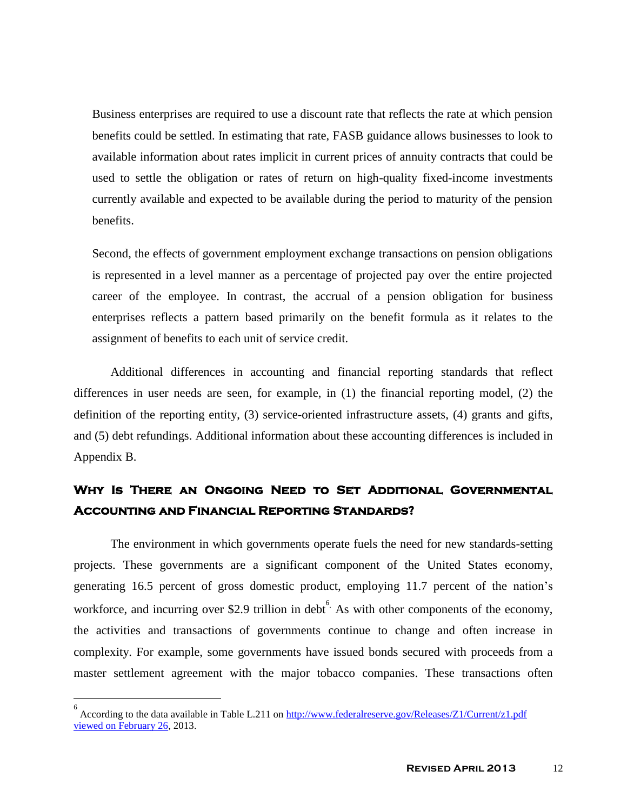Business enterprises are required to use a discount rate that reflects the rate at which pension benefits could be settled. In estimating that rate, FASB guidance allows businesses to look to available information about rates implicit in current prices of annuity contracts that could be used to settle the obligation or rates of return on high-quality fixed-income investments currently available and expected to be available during the period to maturity of the pension benefits.

Second, the effects of government employment exchange transactions on pension obligations is represented in a level manner as a percentage of projected pay over the entire projected career of the employee. In contrast, the accrual of a pension obligation for business enterprises reflects a pattern based primarily on the benefit formula as it relates to the assignment of benefits to each unit of service credit.

Additional differences in accounting and financial reporting standards that reflect differences in user needs are seen, for example, in (1) the financial reporting model, (2) the definition of the reporting entity, (3) service-oriented infrastructure assets, (4) grants and gifts, and (5) debt refundings. Additional information about these accounting differences is included in Appendix B.

## **Why Is There an Ongoing Need to Set Additional Governmental Accounting and Financial Reporting Standards?**

The environment in which governments operate fuels the need for new standards-setting projects. These governments are a significant component of the United States economy, generating 16.5 percent of gross domestic product, employing 11.7 percent of the nation's workforce, and incurring over \$2.9 trillion in debt  $6.$  As with other components of the economy, the activities and transactions of governments continue to change and often increase in complexity. For example, some governments have issued bonds secured with proceeds from a master settlement agreement with the major tobacco companies. These transactions often

 $\overline{a}$ 

<sup>6</sup> According to the data available in Table L.211 on [http://www.federalreserve.gov/Releases/Z1/Current/z1.pdf](http://www.federalreserve.gov/Releases/Z1/Current/z1.pdf%20viewed%20on%20February%2026) [viewed on February 26,](http://www.federalreserve.gov/Releases/Z1/Current/z1.pdf%20viewed%20on%20February%2026) 2013.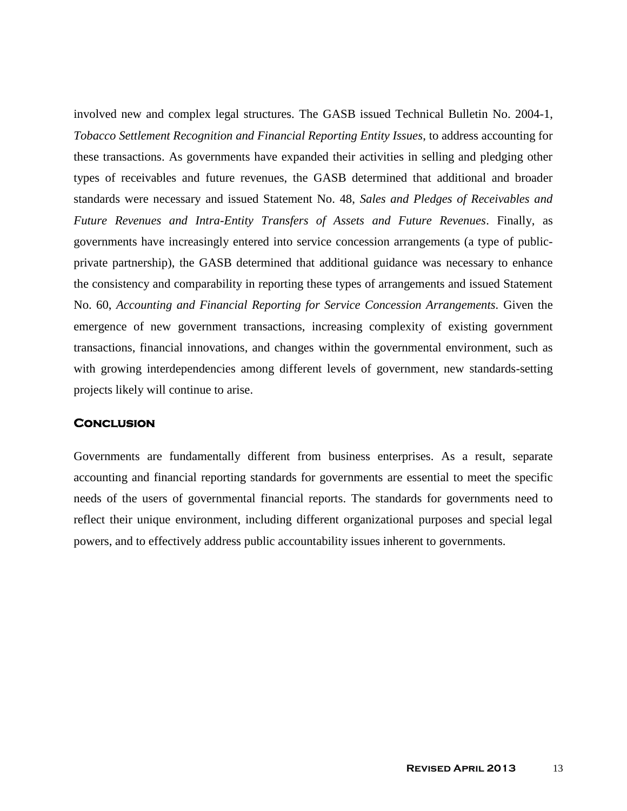involved new and complex legal structures. The GASB issued Technical Bulletin No. 2004-1, *Tobacco Settlement Recognition and Financial Reporting Entity Issues*, to address accounting for these transactions. As governments have expanded their activities in selling and pledging other types of receivables and future revenues, the GASB determined that additional and broader standards were necessary and issued Statement No. 48, *Sales and Pledges of Receivables and Future Revenues and Intra-Entity Transfers of Assets and Future Revenues*. Finally, as governments have increasingly entered into service concession arrangements (a type of publicprivate partnership), the GASB determined that additional guidance was necessary to enhance the consistency and comparability in reporting these types of arrangements and issued Statement No. 60, *Accounting and Financial Reporting for Service Concession Arrangements.* Given the emergence of new government transactions, increasing complexity of existing government transactions, financial innovations, and changes within the governmental environment, such as with growing interdependencies among different levels of government, new standards-setting projects likely will continue to arise.

### **Conclusion**

Governments are fundamentally different from business enterprises. As a result, separate accounting and financial reporting standards for governments are essential to meet the specific needs of the users of governmental financial reports. The standards for governments need to reflect their unique environment, including different organizational purposes and special legal powers, and to effectively address public accountability issues inherent to governments.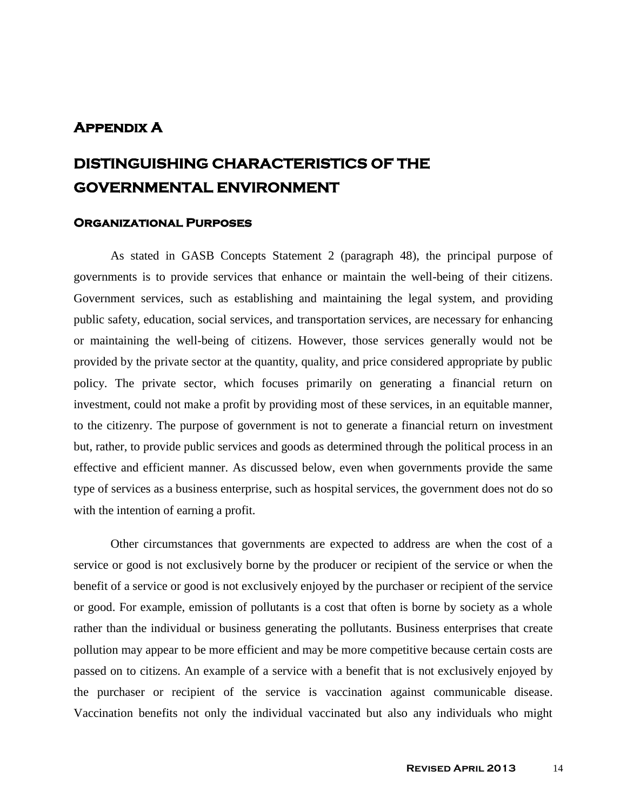### **Appendix A**

# **DISTINGUISHING CHARACTERISTICS OF THE GOVERNMENTAL ENVIRONMENT**

### **Organizational Purposes**

As stated in GASB Concepts Statement 2 (paragraph 48), the principal purpose of governments is to provide services that enhance or maintain the well-being of their citizens. Government services, such as establishing and maintaining the legal system, and providing public safety, education, social services, and transportation services, are necessary for enhancing or maintaining the well-being of citizens. However, those services generally would not be provided by the private sector at the quantity, quality, and price considered appropriate by public policy. The private sector, which focuses primarily on generating a financial return on investment, could not make a profit by providing most of these services, in an equitable manner, to the citizenry. The purpose of government is not to generate a financial return on investment but, rather, to provide public services and goods as determined through the political process in an effective and efficient manner. As discussed below, even when governments provide the same type of services as a business enterprise, such as hospital services, the government does not do so with the intention of earning a profit.

Other circumstances that governments are expected to address are when the cost of a service or good is not exclusively borne by the producer or recipient of the service or when the benefit of a service or good is not exclusively enjoyed by the purchaser or recipient of the service or good. For example, emission of pollutants is a cost that often is borne by society as a whole rather than the individual or business generating the pollutants. Business enterprises that create pollution may appear to be more efficient and may be more competitive because certain costs are passed on to citizens. An example of a service with a benefit that is not exclusively enjoyed by the purchaser or recipient of the service is vaccination against communicable disease. Vaccination benefits not only the individual vaccinated but also any individuals who might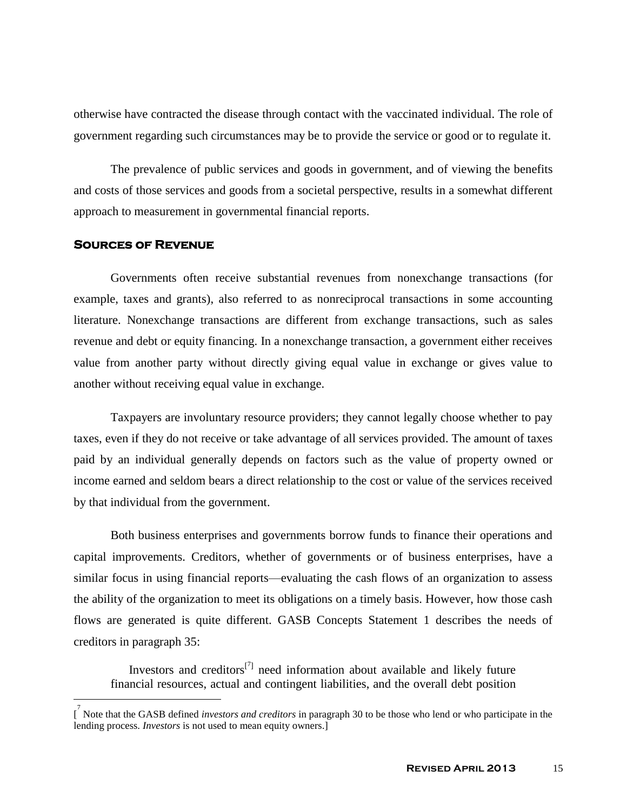otherwise have contracted the disease through contact with the vaccinated individual. The role of government regarding such circumstances may be to provide the service or good or to regulate it.

The prevalence of public services and goods in government, and of viewing the benefits and costs of those services and goods from a societal perspective, results in a somewhat different approach to measurement in governmental financial reports.

#### **Sources of Revenue**

 $\overline{a}$ 

Governments often receive substantial revenues from nonexchange transactions (for example, taxes and grants), also referred to as nonreciprocal transactions in some accounting literature. Nonexchange transactions are different from exchange transactions, such as sales revenue and debt or equity financing. In a nonexchange transaction, a government either receives value from another party without directly giving equal value in exchange or gives value to another without receiving equal value in exchange.

Taxpayers are involuntary resource providers; they cannot legally choose whether to pay taxes, even if they do not receive or take advantage of all services provided. The amount of taxes paid by an individual generally depends on factors such as the value of property owned or income earned and seldom bears a direct relationship to the cost or value of the services received by that individual from the government.

Both business enterprises and governments borrow funds to finance their operations and capital improvements. Creditors, whether of governments or of business enterprises, have a similar focus in using financial reports—evaluating the cash flows of an organization to assess the ability of the organization to meet its obligations on a timely basis. However, how those cash flows are generated is quite different. GASB Concepts Statement 1 describes the needs of creditors in paragraph 35:

Investors and creditors<sup>[7]</sup> need information about available and likely future financial resources, actual and contingent liabilities, and the overall debt position

<sup>[</sup> 7 Note that the GASB defined *investors and creditors* in paragraph 30 to be those who lend or who participate in the lending process. *Investors* is not used to mean equity owners.]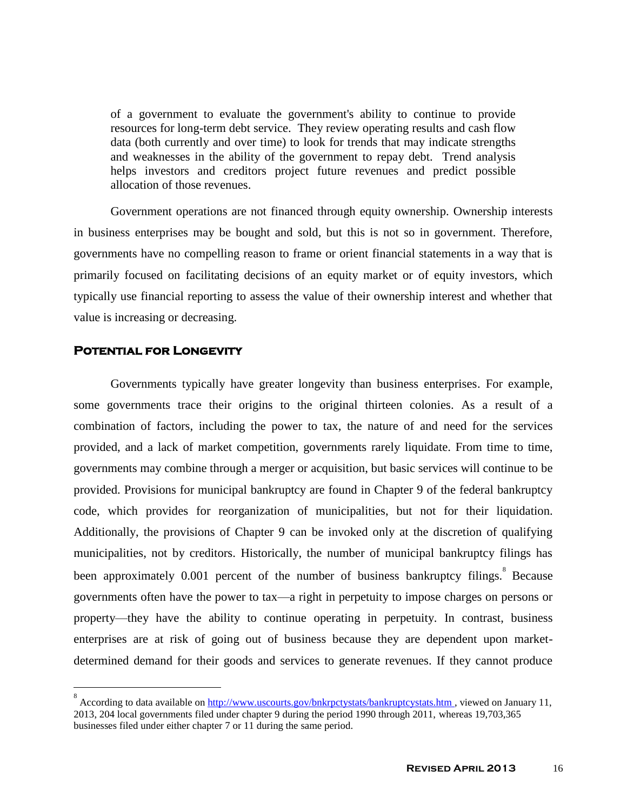of a government to evaluate the government's ability to continue to provide resources for long-term debt service. They review operating results and cash flow data (both currently and over time) to look for trends that may indicate strengths and weaknesses in the ability of the government to repay debt. Trend analysis helps investors and creditors project future revenues and predict possible allocation of those revenues.

Government operations are not financed through equity ownership. Ownership interests in business enterprises may be bought and sold, but this is not so in government. Therefore, governments have no compelling reason to frame or orient financial statements in a way that is primarily focused on facilitating decisions of an equity market or of equity investors, which typically use financial reporting to assess the value of their ownership interest and whether that value is increasing or decreasing.

### **Potential for Longevity**

 $\overline{a}$ 

Governments typically have greater longevity than business enterprises. For example, some governments trace their origins to the original thirteen colonies. As a result of a combination of factors, including the power to tax, the nature of and need for the services provided, and a lack of market competition, governments rarely liquidate. From time to time, governments may combine through a merger or acquisition, but basic services will continue to be provided. Provisions for municipal bankruptcy are found in Chapter 9 of the federal bankruptcy code, which provides for reorganization of municipalities, but not for their liquidation. Additionally, the provisions of Chapter 9 can be invoked only at the discretion of qualifying municipalities, not by creditors. Historically, the number of municipal bankruptcy filings has been approximately  $0.001$  percent of the number of business bankruptcy filings.<sup>8</sup> Because governments often have the power to tax—a right in perpetuity to impose charges on persons or property—they have the ability to continue operating in perpetuity. In contrast, business enterprises are at risk of going out of business because they are dependent upon marketdetermined demand for their goods and services to generate revenues. If they cannot produce

<sup>8</sup> According to data available on [http://www.uscourts.gov/bnkrpctystats/bankruptcystats.htm ,](http://www.uscourts.gov/bnkrpctystats/bankruptcystats.htm%20viewed%20on%20September 15) viewed on January 11, 2013, 204 local governments filed under chapter 9 during the period 1990 through 2011, whereas 19,703,365 businesses filed under either chapter 7 or 11 during the same period.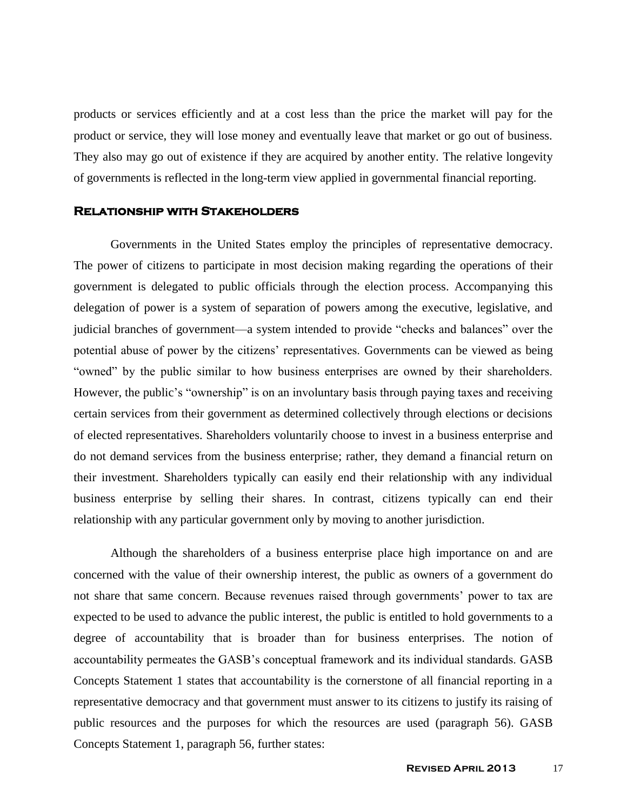products or services efficiently and at a cost less than the price the market will pay for the product or service, they will lose money and eventually leave that market or go out of business. They also may go out of existence if they are acquired by another entity. The relative longevity of governments is reflected in the long-term view applied in governmental financial reporting.

#### **Relationship with Stakeholders**

Governments in the United States employ the principles of representative democracy. The power of citizens to participate in most decision making regarding the operations of their government is delegated to public officials through the election process. Accompanying this delegation of power is a system of separation of powers among the executive, legislative, and judicial branches of government—a system intended to provide "checks and balances" over the potential abuse of power by the citizens' representatives. Governments can be viewed as being "owned" by the public similar to how business enterprises are owned by their shareholders. However, the public's "ownership" is on an involuntary basis through paying taxes and receiving certain services from their government as determined collectively through elections or decisions of elected representatives. Shareholders voluntarily choose to invest in a business enterprise and do not demand services from the business enterprise; rather, they demand a financial return on their investment. Shareholders typically can easily end their relationship with any individual business enterprise by selling their shares. In contrast, citizens typically can end their relationship with any particular government only by moving to another jurisdiction.

Although the shareholders of a business enterprise place high importance on and are concerned with the value of their ownership interest, the public as owners of a government do not share that same concern. Because revenues raised through governments' power to tax are expected to be used to advance the public interest, the public is entitled to hold governments to a degree of accountability that is broader than for business enterprises. The notion of accountability permeates the GASB's conceptual framework and its individual standards. GASB Concepts Statement 1 states that accountability is the cornerstone of all financial reporting in a representative democracy and that government must answer to its citizens to justify its raising of public resources and the purposes for which the resources are used (paragraph 56). GASB Concepts Statement 1, paragraph 56, further states: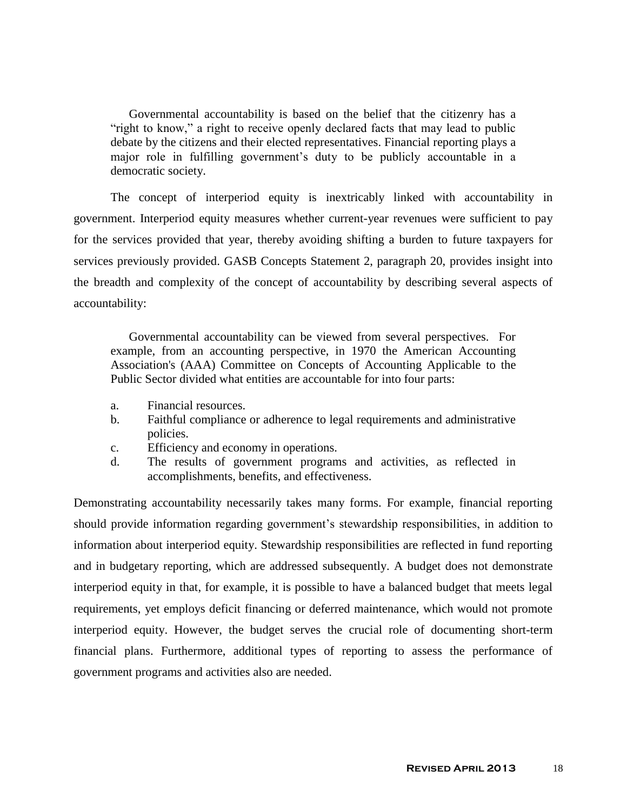Governmental accountability is based on the belief that the citizenry has a "right to know," a right to receive openly declared facts that may lead to public debate by the citizens and their elected representatives. Financial reporting plays a major role in fulfilling government's duty to be publicly accountable in a democratic society.

The concept of interperiod equity is inextricably linked with accountability in government. Interperiod equity measures whether current-year revenues were sufficient to pay for the services provided that year, thereby avoiding shifting a burden to future taxpayers for services previously provided. GASB Concepts Statement 2, paragraph 20, provides insight into the breadth and complexity of the concept of accountability by describing several aspects of accountability:

Governmental accountability can be viewed from several perspectives. For example, from an accounting perspective, in 1970 the American Accounting Association's (AAA) Committee on Concepts of Accounting Applicable to the Public Sector divided what entities are accountable for into four parts:

- a. Financial resources.
- b. Faithful compliance or adherence to legal requirements and administrative policies.
- c. Efficiency and economy in operations.
- d. The results of government programs and activities, as reflected in accomplishments, benefits, and effectiveness.

Demonstrating accountability necessarily takes many forms. For example, financial reporting should provide information regarding government's stewardship responsibilities, in addition to information about interperiod equity. Stewardship responsibilities are reflected in fund reporting and in budgetary reporting, which are addressed subsequently. A budget does not demonstrate interperiod equity in that, for example, it is possible to have a balanced budget that meets legal requirements, yet employs deficit financing or deferred maintenance, which would not promote interperiod equity. However, the budget serves the crucial role of documenting short-term financial plans. Furthermore, additional types of reporting to assess the performance of government programs and activities also are needed.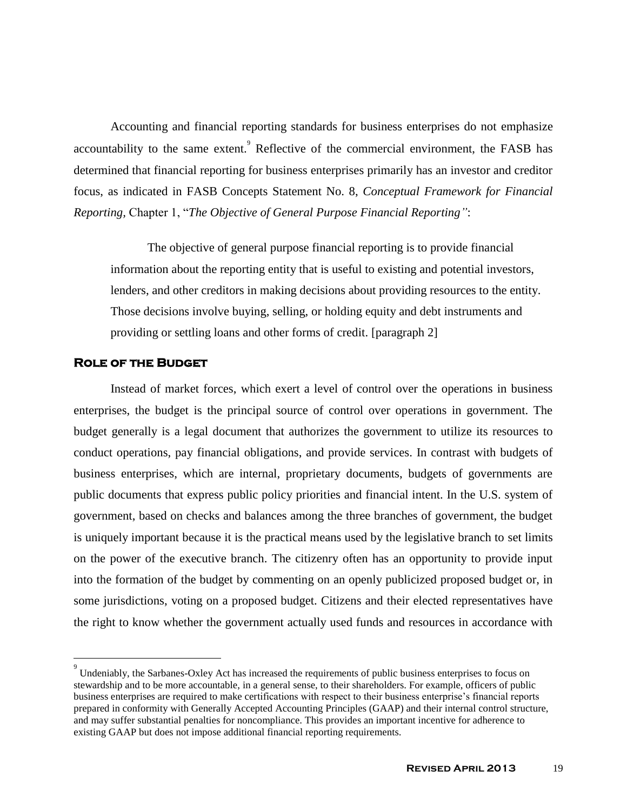Accounting and financial reporting standards for business enterprises do not emphasize accountability to the same extent. Reflective of the commercial environment, the FASB has determined that financial reporting for business enterprises primarily has an investor and creditor focus, as indicated in FASB Concepts Statement No. 8, *Conceptual Framework for Financial Reporting,* Chapter 1, "*The Objective of General Purpose Financial Reporting"*:

The objective of general purpose financial reporting is to provide financial information about the reporting entity that is useful to existing and potential investors, lenders, and other creditors in making decisions about providing resources to the entity. Those decisions involve buying, selling, or holding equity and debt instruments and providing or settling loans and other forms of credit. [paragraph 2]

### **Role of the Budget**

 $\overline{a}$ 

Instead of market forces, which exert a level of control over the operations in business enterprises, the budget is the principal source of control over operations in government. The budget generally is a legal document that authorizes the government to utilize its resources to conduct operations, pay financial obligations, and provide services. In contrast with budgets of business enterprises, which are internal, proprietary documents, budgets of governments are public documents that express public policy priorities and financial intent. In the U.S. system of government, based on checks and balances among the three branches of government, the budget is uniquely important because it is the practical means used by the legislative branch to set limits on the power of the executive branch. The citizenry often has an opportunity to provide input into the formation of the budget by commenting on an openly publicized proposed budget or, in some jurisdictions, voting on a proposed budget. Citizens and their elected representatives have the right to know whether the government actually used funds and resources in accordance with

<sup>&</sup>lt;sup>9</sup> Undeniably, the Sarbanes-Oxley Act has increased the requirements of public business enterprises to focus on stewardship and to be more accountable, in a general sense, to their shareholders. For example, officers of public business enterprises are required to make certifications with respect to their business enterprise's financial reports prepared in conformity with Generally Accepted Accounting Principles (GAAP) and their internal control structure, and may suffer substantial penalties for noncompliance. This provides an important incentive for adherence to existing GAAP but does not impose additional financial reporting requirements.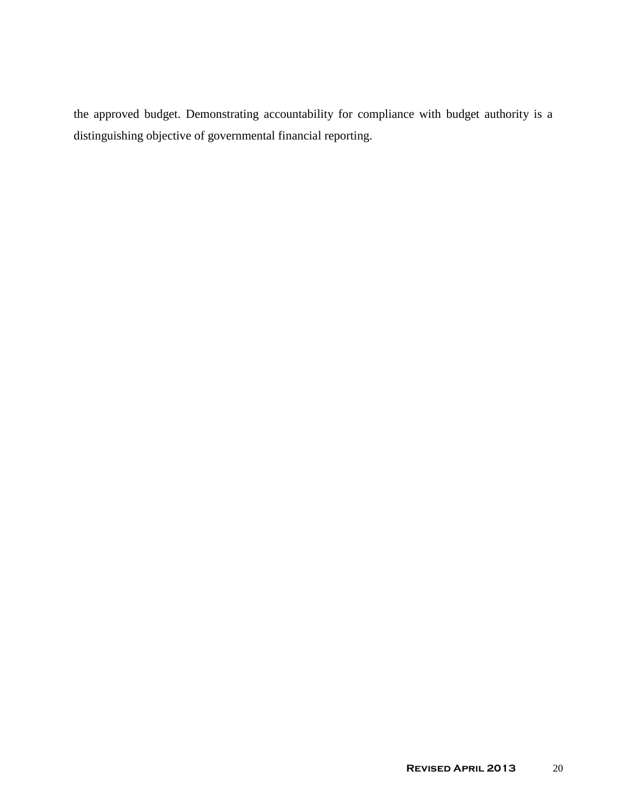the approved budget. Demonstrating accountability for compliance with budget authority is a distinguishing objective of governmental financial reporting.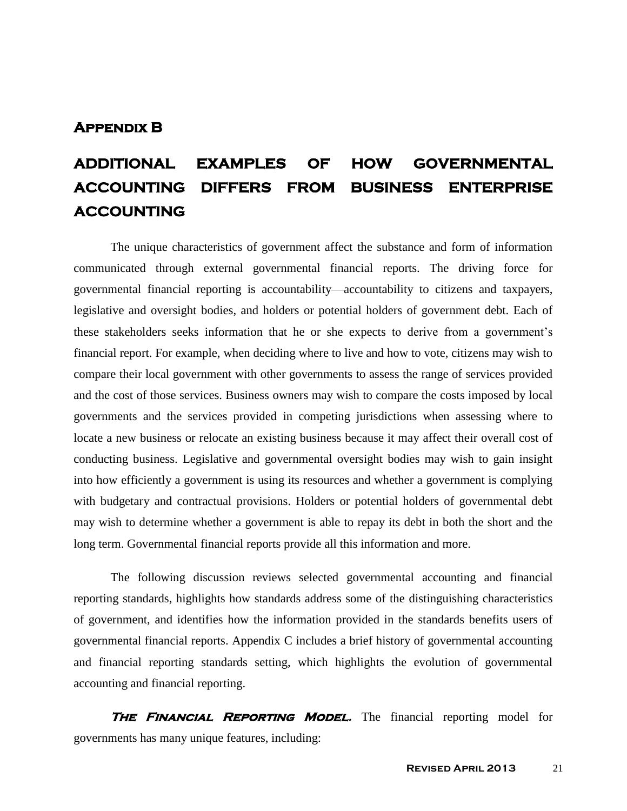### **Appendix B**

# **ADDITIONAL EXAMPLES OF HOW GOVERNMENTAL ACCOUNTING DIFFERS FROM BUSINESS ENTERPRISE ACCOUNTING**

The unique characteristics of government affect the substance and form of information communicated through external governmental financial reports. The driving force for governmental financial reporting is accountability—accountability to citizens and taxpayers, legislative and oversight bodies, and holders or potential holders of government debt. Each of these stakeholders seeks information that he or she expects to derive from a government's financial report. For example, when deciding where to live and how to vote, citizens may wish to compare their local government with other governments to assess the range of services provided and the cost of those services. Business owners may wish to compare the costs imposed by local governments and the services provided in competing jurisdictions when assessing where to locate a new business or relocate an existing business because it may affect their overall cost of conducting business. Legislative and governmental oversight bodies may wish to gain insight into how efficiently a government is using its resources and whether a government is complying with budgetary and contractual provisions. Holders or potential holders of governmental debt may wish to determine whether a government is able to repay its debt in both the short and the long term. Governmental financial reports provide all this information and more.

The following discussion reviews selected governmental accounting and financial reporting standards, highlights how standards address some of the distinguishing characteristics of government, and identifies how the information provided in the standards benefits users of governmental financial reports. Appendix C includes a brief history of governmental accounting and financial reporting standards setting, which highlights the evolution of governmental accounting and financial reporting.

**THE FINANCIAL REPORTING MODEL.** The financial reporting model for governments has many unique features, including: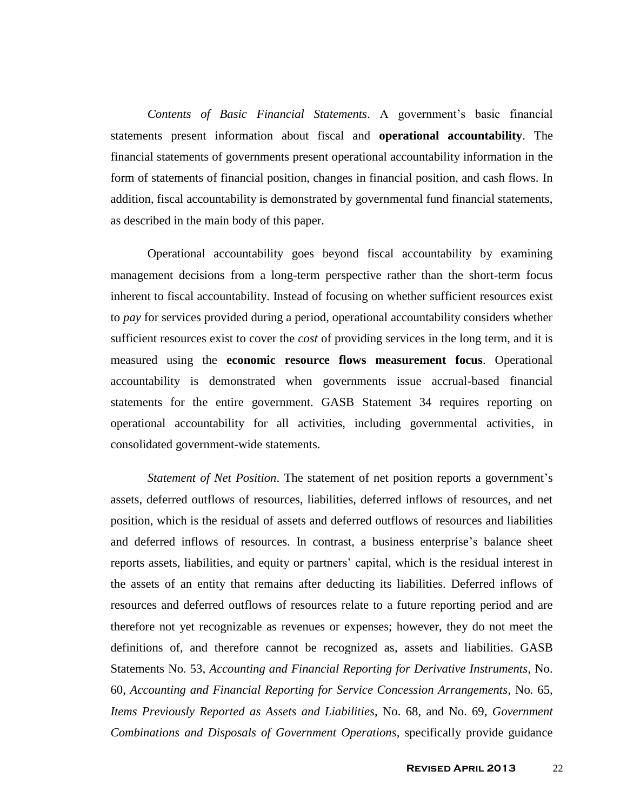*Contents of Basic Financial Statements*. A government's basic financial statements present information about fiscal and **operational accountability**. The financial statements of governments present operational accountability information in the form of statements of financial position, changes in financial position, and cash flows. In addition, fiscal accountability is demonstrated by governmental fund financial statements, as described in the main body of this paper.

Operational accountability goes beyond fiscal accountability by examining management decisions from a long-term perspective rather than the short-term focus inherent to fiscal accountability. Instead of focusing on whether sufficient resources exist to *pay* for services provided during a period, operational accountability considers whether sufficient resources exist to cover the *cost* of providing services in the long term, and it is measured using the **economic resource flows measurement focus**. Operational accountability is demonstrated when governments issue accrual-based financial statements for the entire government. GASB Statement 34 requires reporting on operational accountability for all activities, including governmental activities, in consolidated government-wide statements.

*Statement of Net Position*. The statement of net position reports a government's assets, deferred outflows of resources, liabilities, deferred inflows of resources, and net position, which is the residual of assets and deferred outflows of resources and liabilities and deferred inflows of resources. In contrast, a business enterprise's balance sheet reports assets, liabilities, and equity or partners' capital, which is the residual interest in the assets of an entity that remains after deducting its liabilities. Deferred inflows of resources and deferred outflows of resources relate to a future reporting period and are therefore not yet recognizable as revenues or expenses; however, they do not meet the definitions of, and therefore cannot be recognized as, assets and liabilities. GASB Statements No. 53, *Accounting and Financial Reporting for Derivative Instruments*, No. 60, *Accounting and Financial Reporting for Service Concession Arrangements*, No. 65, *Items Previously Reported as Assets and Liabilities*, No. 68, and No. 69, *Government Combinations and Disposals of Government Operations,* specifically provide guidance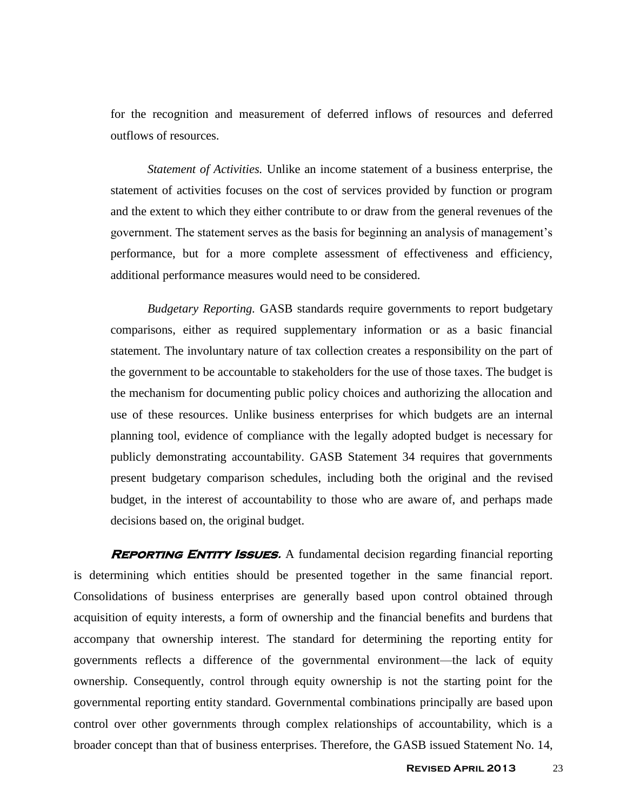for the recognition and measurement of deferred inflows of resources and deferred outflows of resources.

*Statement of Activities.* Unlike an income statement of a business enterprise, the statement of activities focuses on the cost of services provided by function or program and the extent to which they either contribute to or draw from the general revenues of the government. The statement serves as the basis for beginning an analysis of management's performance, but for a more complete assessment of effectiveness and efficiency, additional performance measures would need to be considered.

*Budgetary Reporting.* GASB standards require governments to report budgetary comparisons, either as required supplementary information or as a basic financial statement. The involuntary nature of tax collection creates a responsibility on the part of the government to be accountable to stakeholders for the use of those taxes. The budget is the mechanism for documenting public policy choices and authorizing the allocation and use of these resources. Unlike business enterprises for which budgets are an internal planning tool, evidence of compliance with the legally adopted budget is necessary for publicly demonstrating accountability. GASB Statement 34 requires that governments present budgetary comparison schedules, including both the original and the revised budget, in the interest of accountability to those who are aware of, and perhaps made decisions based on, the original budget.

**REPORTING ENTITY ISSUES.** A fundamental decision regarding financial reporting is determining which entities should be presented together in the same financial report. Consolidations of business enterprises are generally based upon control obtained through acquisition of equity interests, a form of ownership and the financial benefits and burdens that accompany that ownership interest. The standard for determining the reporting entity for governments reflects a difference of the governmental environment—the lack of equity ownership. Consequently, control through equity ownership is not the starting point for the governmental reporting entity standard. Governmental combinations principally are based upon control over other governments through complex relationships of accountability, which is a broader concept than that of business enterprises. Therefore, the GASB issued Statement No. 14,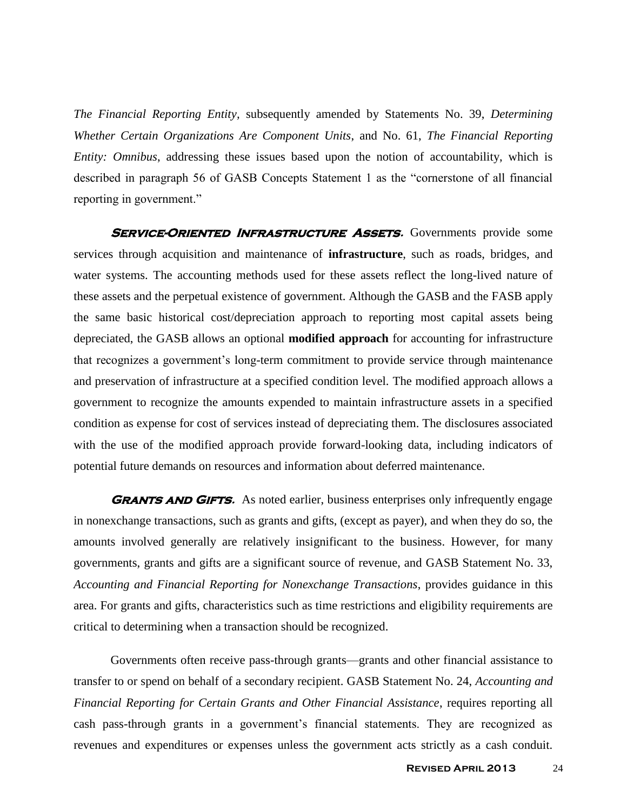*The Financial Reporting Entity,* subsequently amended by Statements No. 39, *Determining Whether Certain Organizations Are Component Units*, and No. 61, *The Financial Reporting Entity: Omnibus*, addressing these issues based upon the notion of accountability, which is described in paragraph 56 of GASB Concepts Statement 1 as the "cornerstone of all financial reporting in government."

**SERVICE-ORIENTED INFRASTRUCTURE ASSETS.** Governments provide some services through acquisition and maintenance of **infrastructure**, such as roads, bridges, and water systems. The accounting methods used for these assets reflect the long-lived nature of these assets and the perpetual existence of government. Although the GASB and the FASB apply the same basic historical cost/depreciation approach to reporting most capital assets being depreciated, the GASB allows an optional **modified approach** for accounting for infrastructure that recognizes a government's long-term commitment to provide service through maintenance and preservation of infrastructure at a specified condition level. The modified approach allows a government to recognize the amounts expended to maintain infrastructure assets in a specified condition as expense for cost of services instead of depreciating them. The disclosures associated with the use of the modified approach provide forward-looking data, including indicators of potential future demands on resources and information about deferred maintenance.

**GRANTS AND GIFTS.** As noted earlier, business enterprises only infrequently engage in nonexchange transactions, such as grants and gifts, (except as payer), and when they do so, the amounts involved generally are relatively insignificant to the business. However, for many governments, grants and gifts are a significant source of revenue, and GASB Statement No. 33, *Accounting and Financial Reporting for Nonexchange Transactions*, provides guidance in this area. For grants and gifts, characteristics such as time restrictions and eligibility requirements are critical to determining when a transaction should be recognized.

Governments often receive pass-through grants—grants and other financial assistance to transfer to or spend on behalf of a secondary recipient. GASB Statement No. 24, *Accounting and Financial Reporting for Certain Grants and Other Financial Assistance*, requires reporting all cash pass-through grants in a government's financial statements. They are recognized as revenues and expenditures or expenses unless the government acts strictly as a cash conduit.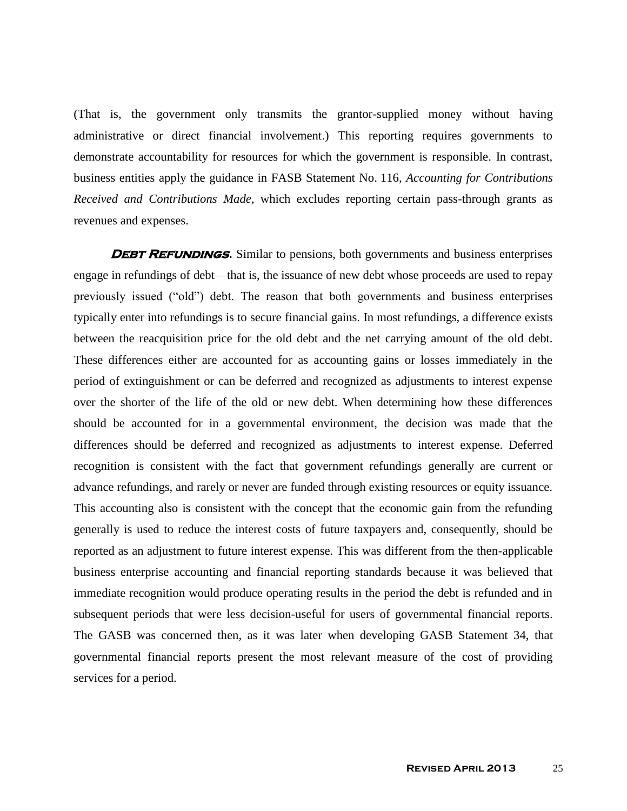(That is, the government only transmits the grantor-supplied money without having administrative or direct financial involvement.) This reporting requires governments to demonstrate accountability for resources for which the government is responsible. In contrast, business entities apply the guidance in FASB Statement No. 116, *Accounting for Contributions Received and Contributions Made*, which excludes reporting certain pass-through grants as revenues and expenses.

**DEBT REFUNDINGS.** Similar to pensions, both governments and business enterprises engage in refundings of debt—that is, the issuance of new debt whose proceeds are used to repay previously issued ("old") debt. The reason that both governments and business enterprises typically enter into refundings is to secure financial gains. In most refundings, a difference exists between the reacquisition price for the old debt and the net carrying amount of the old debt. These differences either are accounted for as accounting gains or losses immediately in the period of extinguishment or can be deferred and recognized as adjustments to interest expense over the shorter of the life of the old or new debt. When determining how these differences should be accounted for in a governmental environment, the decision was made that the differences should be deferred and recognized as adjustments to interest expense. Deferred recognition is consistent with the fact that government refundings generally are current or advance refundings, and rarely or never are funded through existing resources or equity issuance. This accounting also is consistent with the concept that the economic gain from the refunding generally is used to reduce the interest costs of future taxpayers and, consequently, should be reported as an adjustment to future interest expense. This was different from the then-applicable business enterprise accounting and financial reporting standards because it was believed that immediate recognition would produce operating results in the period the debt is refunded and in subsequent periods that were less decision-useful for users of governmental financial reports. The GASB was concerned then, as it was later when developing GASB Statement 34, that governmental financial reports present the most relevant measure of the cost of providing services for a period.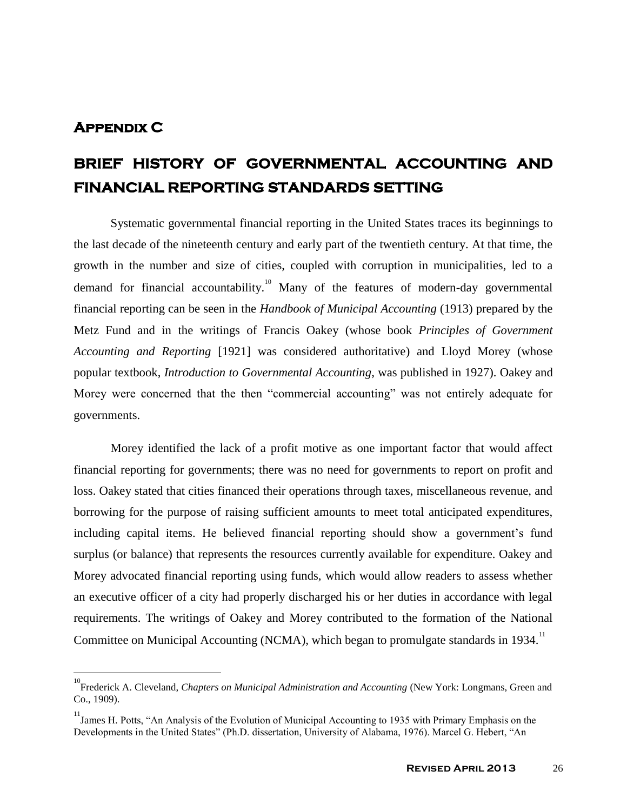### **Appendix C**

# **BRIEF HISTORY OF GOVERNMENTAL ACCOUNTING AND FINANCIAL REPORTING STANDARDS SETTING**

Systematic governmental financial reporting in the United States traces its beginnings to the last decade of the nineteenth century and early part of the twentieth century. At that time, the growth in the number and size of cities, coupled with corruption in municipalities, led to a demand for financial accountability.<sup>10</sup> Many of the features of modern-day governmental financial reporting can be seen in the *Handbook of Municipal Accounting* (1913) prepared by the Metz Fund and in the writings of Francis Oakey (whose book *Principles of Government Accounting and Reporting* [1921] was considered authoritative) and Lloyd Morey (whose popular textbook, *Introduction to Governmental Accounting*, was published in 1927). Oakey and Morey were concerned that the then "commercial accounting" was not entirely adequate for governments.

Morey identified the lack of a profit motive as one important factor that would affect financial reporting for governments; there was no need for governments to report on profit and loss. Oakey stated that cities financed their operations through taxes, miscellaneous revenue, and borrowing for the purpose of raising sufficient amounts to meet total anticipated expenditures, including capital items. He believed financial reporting should show a government's fund surplus (or balance) that represents the resources currently available for expenditure. Oakey and Morey advocated financial reporting using funds, which would allow readers to assess whether an executive officer of a city had properly discharged his or her duties in accordance with legal requirements. The writings of Oakey and Morey contributed to the formation of the National Committee on Municipal Accounting (NCMA), which began to promulgate standards in 1934.<sup>11</sup>

<sup>&</sup>lt;sup>10</sup><br>Frederick A. Cleveland, *Chapters on Municipal Administration and Accounting* (New York: Longmans, Green and Co., 1909).

<sup>&</sup>lt;sup>11</sup> James H. Potts, "An Analysis of the Evolution of Municipal Accounting to 1935 with Primary Emphasis on the Developments in the United States" (Ph.D. dissertation, University of Alabama, 1976). Marcel G. Hebert, "An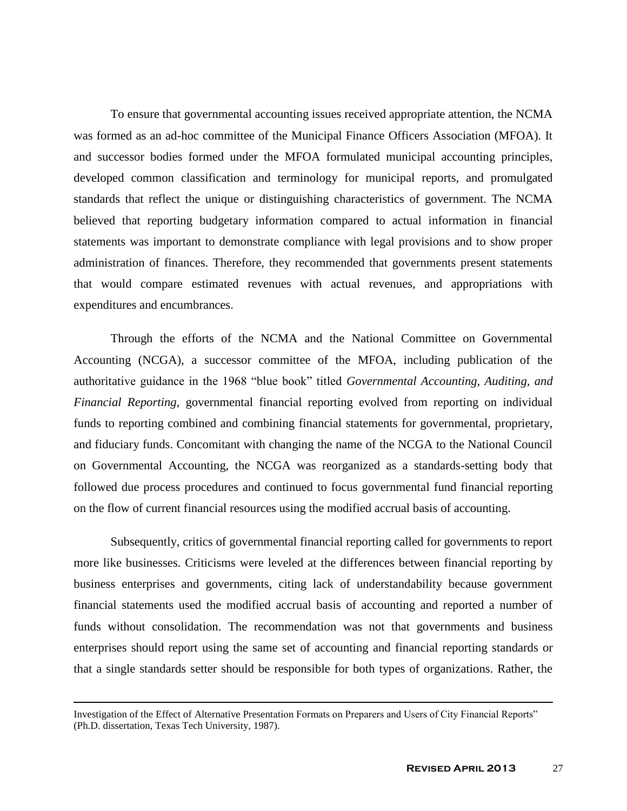To ensure that governmental accounting issues received appropriate attention, the NCMA was formed as an ad-hoc committee of the Municipal Finance Officers Association (MFOA). It and successor bodies formed under the MFOA formulated municipal accounting principles, developed common classification and terminology for municipal reports, and promulgated standards that reflect the unique or distinguishing characteristics of government. The NCMA believed that reporting budgetary information compared to actual information in financial statements was important to demonstrate compliance with legal provisions and to show proper administration of finances. Therefore, they recommended that governments present statements that would compare estimated revenues with actual revenues, and appropriations with expenditures and encumbrances.

Through the efforts of the NCMA and the National Committee on Governmental Accounting (NCGA), a successor committee of the MFOA, including publication of the authoritative guidance in the 1968 "blue book" titled *Governmental Accounting, Auditing, and Financial Reporting*, governmental financial reporting evolved from reporting on individual funds to reporting combined and combining financial statements for governmental, proprietary, and fiduciary funds. Concomitant with changing the name of the NCGA to the National Council on Governmental Accounting, the NCGA was reorganized as a standards-setting body that followed due process procedures and continued to focus governmental fund financial reporting on the flow of current financial resources using the modified accrual basis of accounting.

Subsequently, critics of governmental financial reporting called for governments to report more like businesses. Criticisms were leveled at the differences between financial reporting by business enterprises and governments, citing lack of understandability because government financial statements used the modified accrual basis of accounting and reported a number of funds without consolidation. The recommendation was not that governments and business enterprises should report using the same set of accounting and financial reporting standards or that a single standards setter should be responsible for both types of organizations. Rather, the

 $\overline{a}$ 

Investigation of the Effect of Alternative Presentation Formats on Preparers and Users of City Financial Reports" (Ph.D. dissertation, Texas Tech University, 1987).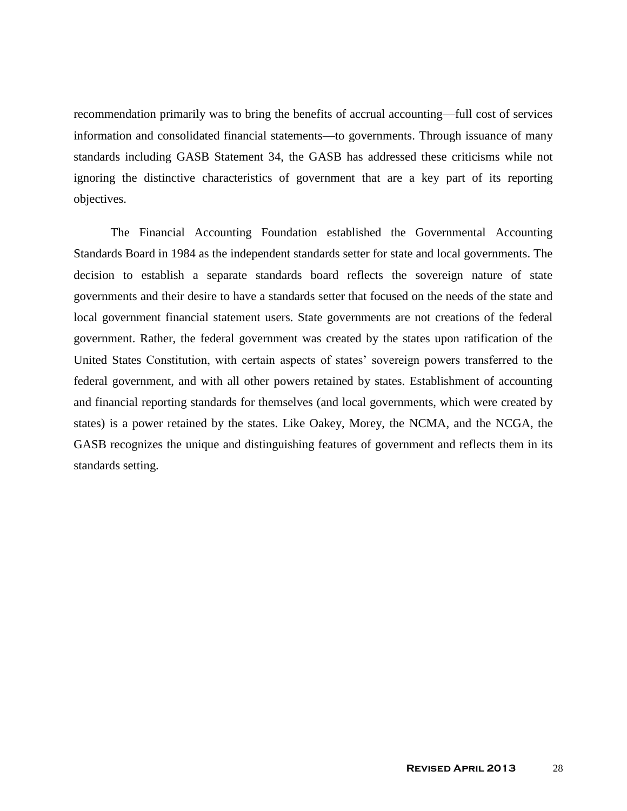recommendation primarily was to bring the benefits of accrual accounting—full cost of services information and consolidated financial statements—to governments. Through issuance of many standards including GASB Statement 34, the GASB has addressed these criticisms while not ignoring the distinctive characteristics of government that are a key part of its reporting objectives.

The Financial Accounting Foundation established the Governmental Accounting Standards Board in 1984 as the independent standards setter for state and local governments. The decision to establish a separate standards board reflects the sovereign nature of state governments and their desire to have a standards setter that focused on the needs of the state and local government financial statement users. State governments are not creations of the federal government. Rather, the federal government was created by the states upon ratification of the United States Constitution, with certain aspects of states' sovereign powers transferred to the federal government, and with all other powers retained by states. Establishment of accounting and financial reporting standards for themselves (and local governments, which were created by states) is a power retained by the states. Like Oakey, Morey, the NCMA, and the NCGA, the GASB recognizes the unique and distinguishing features of government and reflects them in its standards setting.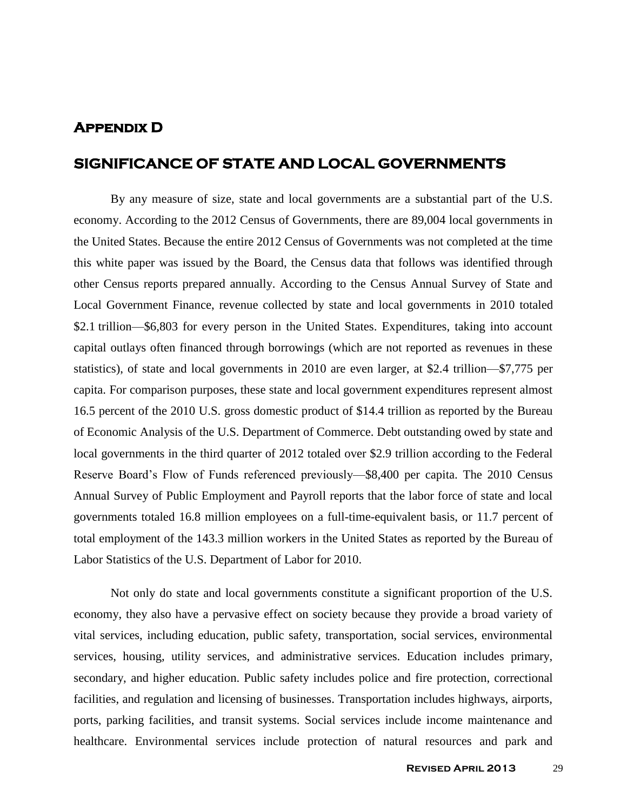### **Appendix D**

### **SIGNIFICANCE OF STATE AND LOCAL GOVERNMENTS**

By any measure of size, state and local governments are a substantial part of the U.S. economy. According to the 2012 Census of Governments, there are 89,004 local governments in the United States. Because the entire 2012 Census of Governments was not completed at the time this white paper was issued by the Board, the Census data that follows was identified through other Census reports prepared annually. According to the Census Annual Survey of State and Local Government Finance, revenue collected by state and local governments in 2010 totaled \$2.1 trillion—\$6,803 for every person in the United States. Expenditures, taking into account capital outlays often financed through borrowings (which are not reported as revenues in these statistics), of state and local governments in 2010 are even larger, at \$2.4 trillion—\$7,775 per capita. For comparison purposes, these state and local government expenditures represent almost 16.5 percent of the 2010 U.S. gross domestic product of \$14.4 trillion as reported by the Bureau of Economic Analysis of the U.S. Department of Commerce. Debt outstanding owed by state and local governments in the third quarter of 2012 totaled over \$2.9 trillion according to the Federal Reserve Board's Flow of Funds referenced previously—\$8,400 per capita. The 2010 Census Annual Survey of Public Employment and Payroll reports that the labor force of state and local governments totaled 16.8 million employees on a full-time-equivalent basis, or 11.7 percent of total employment of the 143.3 million workers in the United States as reported by the Bureau of Labor Statistics of the U.S. Department of Labor for 2010.

Not only do state and local governments constitute a significant proportion of the U.S. economy, they also have a pervasive effect on society because they provide a broad variety of vital services, including education, public safety, transportation, social services, environmental services, housing, utility services, and administrative services. Education includes primary, secondary, and higher education. Public safety includes police and fire protection, correctional facilities, and regulation and licensing of businesses. Transportation includes highways, airports, ports, parking facilities, and transit systems. Social services include income maintenance and healthcare. Environmental services include protection of natural resources and park and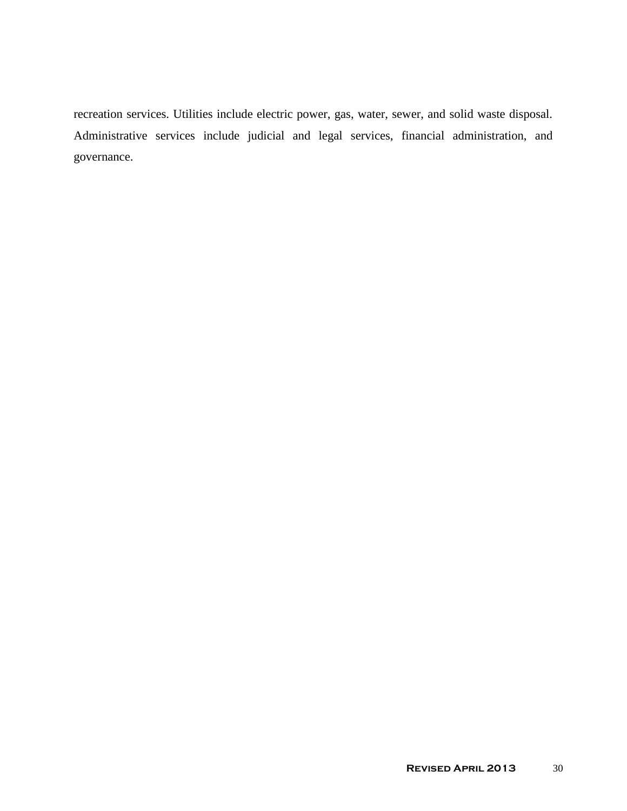recreation services. Utilities include electric power, gas, water, sewer, and solid waste disposal. Administrative services include judicial and legal services, financial administration, and governance.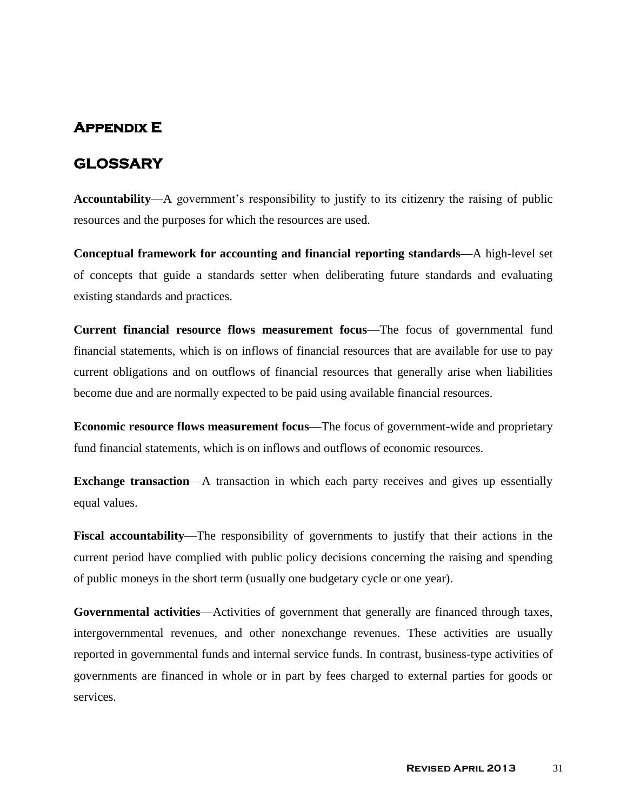## **Appendix E**

### **GLOSSARY**

**Accountability**—A government's responsibility to justify to its citizenry the raising of public resources and the purposes for which the resources are used.

**Conceptual framework for accounting and financial reporting standards—**A high-level set of concepts that guide a standards setter when deliberating future standards and evaluating existing standards and practices.

**Current financial resource flows measurement focus**—The focus of governmental fund financial statements, which is on inflows of financial resources that are available for use to pay current obligations and on outflows of financial resources that generally arise when liabilities become due and are normally expected to be paid using available financial resources.

**Economic resource flows measurement focus**—The focus of government-wide and proprietary fund financial statements, which is on inflows and outflows of economic resources.

**Exchange transaction—A** transaction in which each party receives and gives up essentially equal values.

**Fiscal accountability**—The responsibility of governments to justify that their actions in the current period have complied with public policy decisions concerning the raising and spending of public moneys in the short term (usually one budgetary cycle or one year).

**Governmental activities**—Activities of government that generally are financed through taxes, intergovernmental revenues, and other nonexchange revenues. These activities are usually reported in governmental funds and internal service funds. In contrast, business-type activities of governments are financed in whole or in part by fees charged to external parties for goods or services.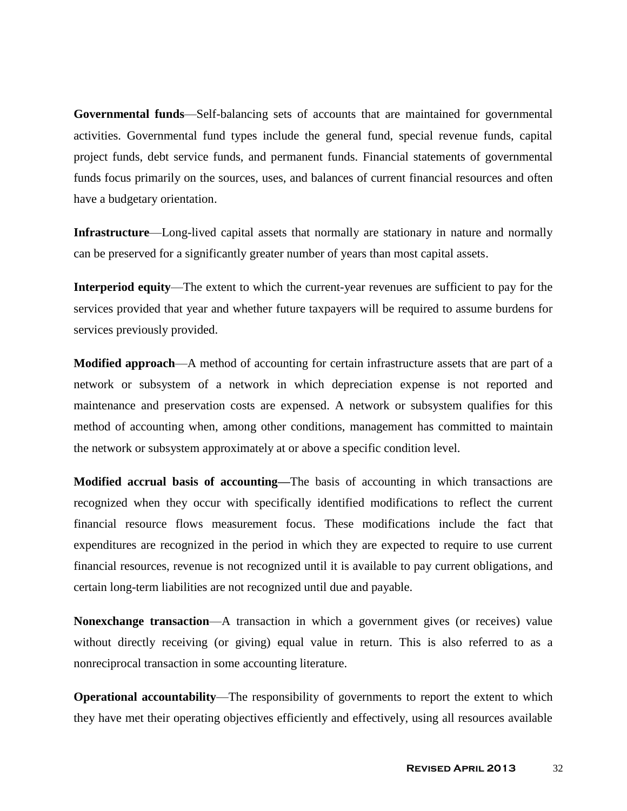**Governmental funds**—Self-balancing sets of accounts that are maintained for governmental activities. Governmental fund types include the general fund, special revenue funds, capital project funds, debt service funds, and permanent funds. Financial statements of governmental funds focus primarily on the sources, uses, and balances of current financial resources and often have a budgetary orientation.

**Infrastructure**—Long-lived capital assets that normally are stationary in nature and normally can be preserved for a significantly greater number of years than most capital assets.

**Interperiod equity**—The extent to which the current-year revenues are sufficient to pay for the services provided that year and whether future taxpayers will be required to assume burdens for services previously provided.

**Modified approach**—A method of accounting for certain infrastructure assets that are part of a network or subsystem of a network in which depreciation expense is not reported and maintenance and preservation costs are expensed. A network or subsystem qualifies for this method of accounting when, among other conditions, management has committed to maintain the network or subsystem approximately at or above a specific condition level.

**Modified accrual basis of accounting—**The basis of accounting in which transactions are recognized when they occur with specifically identified modifications to reflect the current financial resource flows measurement focus. These modifications include the fact that expenditures are recognized in the period in which they are expected to require to use current financial resources, revenue is not recognized until it is available to pay current obligations, and certain long-term liabilities are not recognized until due and payable.

**Nonexchange transaction—A** transaction in which a government gives (or receives) value without directly receiving (or giving) equal value in return. This is also referred to as a nonreciprocal transaction in some accounting literature.

**Operational accountability**—The responsibility of governments to report the extent to which they have met their operating objectives efficiently and effectively, using all resources available